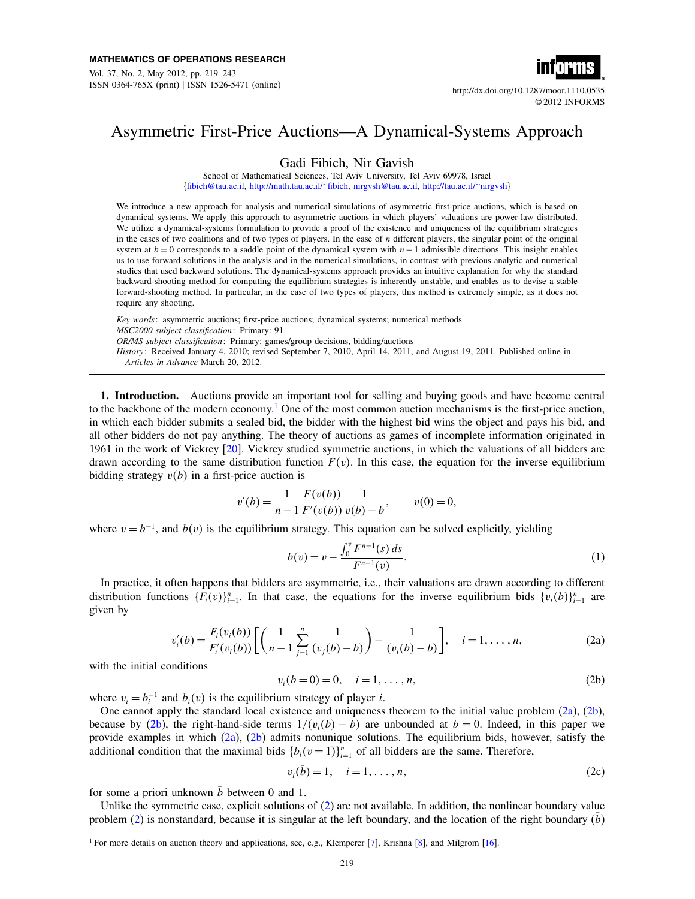Vol. 37, No. 2, May 2012, pp. 219–243 ISSN 0364-765X (print) ISSN 1526-5471 (online) http://dx.doi.org/10.1287/moor.1110.0535



© 2012 INFORMS

## Asymmetric First-Price Auctions—A Dynamical-Systems Approach

Gadi Fibich, Nir Gavish

School of Mathematical Sciences, Tel Aviv University, Tel Aviv 69978, Israel [{fibich@tau.ac.il,](mailto:fibich@tau.ac.il) [http://math.tau.ac.il/~fibich,](http://math.tau.ac.il/~fibich) [nirgvsh@tau.ac.il,](mailto:nirgvsh@tau.ac.il) [http://tau.ac.il/~nirgvsh}](http://tau.ac.il/~nirgvsh)

We introduce a new approach for analysis and numerical simulations of asymmetric first-price auctions, which is based on dynamical systems. We apply this approach to asymmetric auctions in which players' valuations are power-law distributed. We utilize a dynamical-systems formulation to provide a proof of the existence and uniqueness of the equilibrium strategies in the cases of two coalitions and of two types of players. In the case of  $n$  different players, the singular point of the original system at  $b = 0$  corresponds to a saddle point of the dynamical system with  $n-1$  admissible directions. This insight enables us to use forward solutions in the analysis and in the numerical simulations, in contrast with previous analytic and numerical studies that used backward solutions. The dynamical-systems approach provides an intuitive explanation for why the standard backward-shooting method for computing the equilibrium strategies is inherently unstable, and enables us to devise a stable forward-shooting method. In particular, in the case of two types of players, this method is extremely simple, as it does not require any shooting.

Key words: asymmetric auctions; first-price auctions; dynamical systems; numerical methods MSC2000 subject classification: Primary: 91 OR/MS subject classification: Primary: games/group decisions, bidding/auctions History: Received January 4, 2010; revised September 7, 2010, April 14, 2011, and August 19, 2011. Published online in Articles in Advance March 20, 2012.

1. Introduction. Auctions provide an important tool for selling and buying goods and have become central to the backbone of the modern economy.[1](#page-0-0) One of the most common auction mechanisms is the first-price auction, in which each bidder submits a sealed bid, the bidder with the highest bid wins the object and pays his bid, and all other bidders do not pay anything. The theory of auctions as games of incomplete information originated in 1961 in the work of Vickrey [\[20\]](#page-24-0). Vickrey studied symmetric auctions, in which the valuations of all bidders are drawn according to the same distribution function  $F(v)$ . In this case, the equation for the inverse equilibrium bidding strategy  $v(b)$  in a first-price auction is

$$
v'(b) = \frac{1}{n-1} \frac{F(v(b))}{F'(v(b))} \frac{1}{v(b)-b}, \qquad v(0) = 0,
$$

where  $v = b^{-1}$ , and  $b(v)$  is the equilibrium strategy. This equation can be solved explicitly, yielding

<span id="page-0-5"></span>
$$
b(v) = v - \frac{\int_0^v F^{n-1}(s) ds}{F^{n-1}(v)}.
$$
\n(1)

In practice, it often happens that bidders are asymmetric, i.e., their valuations are drawn according to different distribution functions  $\{F_i(v)\}_{i=1}^n$ . In that case, the equations for the inverse equilibrium bids  $\{v_i(b)\}_{i=1}^n$  are given by

<span id="page-0-3"></span><span id="page-0-1"></span>
$$
v'_{i}(b) = \frac{F_{i}(v_{i}(b))}{F'_{i}(v_{i}(b))} \left[ \left( \frac{1}{n-1} \sum_{j=1}^{n} \frac{1}{(v_{j}(b)-b)} \right) - \frac{1}{(v_{i}(b)-b)} \right], \quad i = 1, ..., n,
$$
 (2a)

with the initial conditions

<span id="page-0-2"></span>
$$
v_i(b=0) = 0, \quad i = 1, ..., n,
$$
 (2b)

where  $v_i = b_i^{-1}$  and  $b_i(v)$  is the equilibrium strategy of player *i*.

One cannot apply the standard local existence and uniqueness theorem to the initial value problem [\(2a\)](#page-0-1), [\(2b\)](#page-0-2), because by [\(2b\)](#page-0-2), the right-hand-side terms  $1/(v_i(b) - b)$  are unbounded at  $b = 0$ . Indeed, in this paper we provide examples in which [\(2a\)](#page-0-1), [\(2b\)](#page-0-2) admits nonunique solutions. The equilibrium bids, however, satisfy the additional condition that the maximal bids  ${b_i(v=1)}_{i=1}^n$  of all bidders are the same. Therefore,

<span id="page-0-4"></span>
$$
v_i(\bar{b}) = 1, \quad i = 1, \dots, n,
$$
 (2c)

for some a priori unknown  $\bar{b}$  between 0 and 1.

Unlike the symmetric case, explicit solutions of [\(2\)](#page-0-3) are not available. In addition, the nonlinear boundary value problem  $(2)$  is nonstandard, because it is singular at the left boundary, and the location of the right boundary  $(b)$ 

<span id="page-0-0"></span><sup>&</sup>lt;sup>1</sup> For more details on auction theory and applications, see, e.g., Klemperer [\[7\]](#page-24-1), Krishna [\[8\]](#page-24-2), and Milgrom [\[16\]](#page-24-3).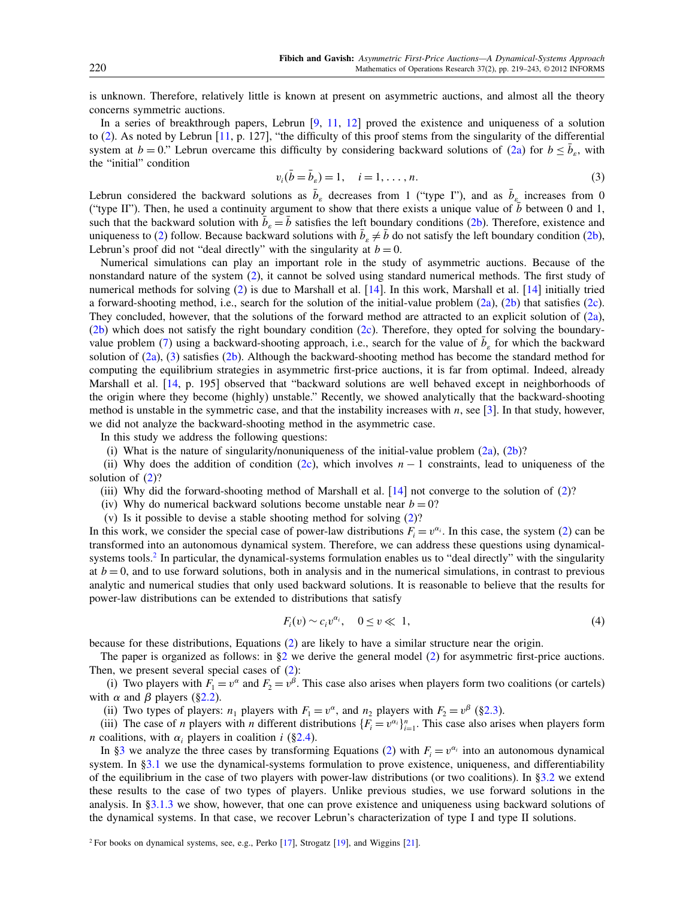is unknown. Therefore, relatively little is known at present on asymmetric auctions, and almost all the theory concerns symmetric auctions.

In a series of breakthrough papers, Lebrun [\[9,](#page-24-4) [11,](#page-24-5) [12\]](#page-24-6) proved the existence and uniqueness of a solution to [\(2\)](#page-0-3). As noted by Lebrun [\[11,](#page-24-5) p. 127], "the difficulty of this proof stems from the singularity of the differential system at  $b = 0$ ." Lebrun overcame this difficulty by considering backward solutions of [\(2a\)](#page-0-1) for  $b \leq \bar{b}_s$ , with the "initial" condition

<span id="page-1-0"></span>
$$
v_i(\bar{b} = \bar{b}_s) = 1, \quad i = 1, \dots, n.
$$
 (3)

Lebrun considered the backward solutions as  $\bar{b}_\varepsilon$  decreases from 1 ("type I"), and as  $\bar{b}_\varepsilon$  increases from 0 ("type II"). Then, he used a continuity argument to show that there exists a unique value of b between 0 and 1, such that the backward solution with  $\bar{b}_\varepsilon = \bar{b}$  satisfies the left boundary conditions [\(2b\)](#page-0-2). Therefore, existence and uniqueness to [\(2\)](#page-0-3) follow. Because backward solutions with  $\bar{b}_\varepsilon \neq \bar{b}$  do not satisfy the left boundary condition [\(2b\)](#page-0-2), Lebrun's proof did not "deal directly" with the singularity at  $b = 0$ .

Numerical simulations can play an important role in the study of asymmetric auctions. Because of the nonstandard nature of the system [\(2\)](#page-0-3), it cannot be solved using standard numerical methods. The first study of numerical methods for solving [\(2\)](#page-0-3) is due to Marshall et al. [\[14\]](#page-24-7). In this work, Marshall et al. [14] initially tried a forward-shooting method, i.e., search for the solution of the initial-value problem [\(2a\)](#page-0-1), [\(2b\)](#page-0-2) that satisfies [\(2c\)](#page-0-4). They concluded, however, that the solutions of the forward method are attracted to an explicit solution of [\(2a\)](#page-0-1), [\(2b\)](#page-0-2) which does not satisfy the right boundary condition [\(2c\)](#page-0-4). Therefore, they opted for solving the boundary-value problem [\(7\)](#page-2-0) using a backward-shooting approach, i.e., search for the value of  $\bar{b}_\varepsilon$  for which the backward solution of  $(2a)$ ,  $(3)$  satisfies  $(2b)$ . Although the backward-shooting method has become the standard method for computing the equilibrium strategies in asymmetric first-price auctions, it is far from optimal. Indeed, already Marshall et al. [\[14,](#page-24-7) p. 195] observed that "backward solutions are well behaved except in neighborhoods of the origin where they become (highly) unstable." Recently, we showed analytically that the backward-shooting method is unstable in the symmetric case, and that the instability increases with  $n$ , see [\[3\]](#page-23-0). In that study, however, we did not analyze the backward-shooting method in the asymmetric case.

In this study we address the following questions:

(i) What is the nature of singularity/nonuniqueness of the initial-value problem  $(2a)$ ,  $(2b)$ ?

(ii) Why does the addition of condition [\(2c\)](#page-0-4), which involves  $n - 1$  constraints, lead to uniqueness of the solution of  $(2)$ ?

(iii) Why did the forward-shooting method of Marshall et al.  $[14]$  not converge to the solution of  $(2)$ ?

(iv) Why do numerical backward solutions become unstable near  $b = 0$ ?

(v) Is it possible to devise a stable shooting method for solving [\(2\)](#page-0-3)?

In this work, we consider the special case of power-law distributions  $F_i = v^{\alpha_i}$ . In this case, the system [\(2\)](#page-0-3) can be transformed into an autonomous dynamical system. Therefore, we can address these questions using dynamical-systems tools.<sup>[2](#page-1-1)</sup> In particular, the dynamical-systems formulation enables us to "deal directly" with the singularity at  $b = 0$ , and to use forward solutions, both in analysis and in the numerical simulations, in contrast to previous analytic and numerical studies that only used backward solutions. It is reasonable to believe that the results for power-law distributions can be extended to distributions that satisfy

$$
F_i(v) \sim c_i v^{\alpha_i}, \quad 0 \le v \ll 1,
$$
\n<sup>(4)</sup>

because for these distributions, Equations [\(2\)](#page-0-3) are likely to have a similar structure near the origin.

The paper is organized as follows: in  $\S2$  we derive the general model [\(2\)](#page-0-3) for asymmetric first-price auctions. Then, we present several special cases of  $(2)$ :

(i) Two players with  $F_1 = v^{\alpha}$  and  $F_2 = v^{\beta}$ . This case also arises when players form two coalitions (or cartels) with  $\alpha$  and  $\beta$  players ([§2.2\)](#page-3-0).

(ii) Two types of players:  $n_1$  players with  $F_1 = v^{\alpha}$ , and  $n_2$  players with  $F_2 = v^{\beta}$  ([§2.3\)](#page-3-1).

(iii) The case of *n* players with *n* different distributions  $\{F_i = v^{\alpha_i}\}_{i=1}^n$ . This case also arises when players form *n* coalitions, with  $\alpha_i$  players in coalition *i* ([§2.4\)](#page-4-0).

In [§3](#page-4-1) we analyze the three cases by transforming Equations [\(2\)](#page-0-3) with  $F_i = v^{\alpha_i}$  into an autonomous dynamical system. In [§3.1](#page-4-2) we use the dynamical-systems formulation to prove existence, uniqueness, and differentiability of the equilibrium in the case of two players with power-law distributions (or two coalitions). In  $\S 3.2$  we extend these results to the case of two types of players. Unlike previous studies, we use forward solutions in the analysis. In [§3.1.3](#page-10-0) we show, however, that one can prove existence and uniqueness using backward solutions of the dynamical systems. In that case, we recover Lebrun's characterization of type I and type II solutions.

<span id="page-1-1"></span><sup>&</sup>lt;sup>2</sup> For books on dynamical systems, see, e.g., Perko [\[17\]](#page-24-8), Strogatz [\[19\]](#page-24-9), and Wiggins [\[21\]](#page-24-10).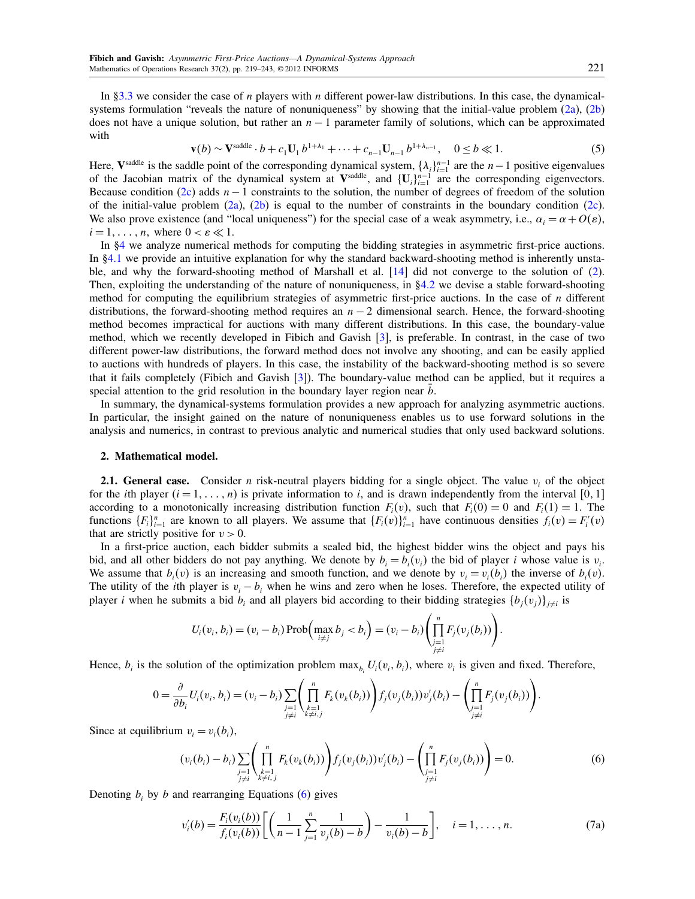In [§3.3](#page-13-0) we consider the case of *n* players with *n* different power-law distributions. In this case, the dynamical-systems formulation "reveals the nature of nonuniqueness" by showing that the initial-value problem [\(2a\)](#page-0-1), [\(2b\)](#page-0-2) does not have a unique solution, but rather an  $n - 1$  parameter family of solutions, which can be approximated with

$$
\mathbf{v}(b) \sim \mathbf{V}^{\text{saddle}} \cdot b + c_1 \mathbf{U}_1 b^{1 + \lambda_1} + \dots + c_{n-1} \mathbf{U}_{n-1} b^{1 + \lambda_{n-1}}, \quad 0 \le b \ll 1. \tag{5}
$$

Here,  $V^{\text{saddle}}$  is the saddle point of the corresponding dynamical system,  $\{\lambda_i\}_{i=1}^{n-1}$  are the  $n-1$  positive eigenvalues of the Jacobian matrix of the dynamical system at  $V^{\text{saddle}}$ , and  $\{U_i\}_{i=1}^{n-1}$  are the corresponding eigenvectors. Because condition [\(2c\)](#page-0-4) adds  $n - 1$  constraints to the solution, the number of degrees of freedom of the solution of the initial-value problem  $(2a)$ ,  $(2b)$  is equal to the number of constraints in the boundary condition  $(2c)$ . We also prove existence (and "local uniqueness") for the special case of a weak asymmetry, i.e.,  $\alpha_i = \alpha + O(\varepsilon)$ ,  $i = 1, \ldots, n$ , where  $0 < \varepsilon \ll 1$ .

In [§4](#page-16-0) we analyze numerical methods for computing the bidding strategies in asymmetric first-price auctions. In [§4.1](#page-16-1) we provide an intuitive explanation for why the standard backward-shooting method is inherently unstable, and why the forward-shooting method of Marshall et al. [\[14\]](#page-24-7) did not converge to the solution of [\(2\)](#page-0-3). Then, exploiting the understanding of the nature of nonuniqueness, in [§4.2](#page-18-0) we devise a stable forward-shooting method for computing the equilibrium strategies of asymmetric first-price auctions. In the case of  $n$  different distributions, the forward-shooting method requires an  $n - 2$  dimensional search. Hence, the forward-shooting method becomes impractical for auctions with many different distributions. In this case, the boundary-value method, which we recently developed in Fibich and Gavish [\[3\]](#page-23-0), is preferable. In contrast, in the case of two different power-law distributions, the forward method does not involve any shooting, and can be easily applied to auctions with hundreds of players. In this case, the instability of the backward-shooting method is so severe that it fails completely (Fibich and Gavish [\[3\]](#page-23-0)). The boundary-value method can be applied, but it requires a special attention to the grid resolution in the boundary layer region near  $b$ .

In summary, the dynamical-systems formulation provides a new approach for analyzing asymmetric auctions. In particular, the insight gained on the nature of nonuniqueness enables us to use forward solutions in the analysis and numerics, in contrast to previous analytic and numerical studies that only used backward solutions.

## <span id="page-2-1"></span>2. Mathematical model.

**2.1. General case.** Consider *n* risk-neutral players bidding for a single object. The value  $v_i$  of the object for the *i*th player  $(i = 1, \ldots, n)$  is private information to *i*, and is drawn independently from the interval [0, 1] according to a monotonically increasing distribution function  $F_i(v)$ , such that  $F_i(0) = 0$  and  $F_i(1) = 1$ . The functions  $\{F_i\}_{i=1}^n$  are known to all players. We assume that  $\{F_i(v)\}_{i=1}^n$  have continuous densities  $f_i(v) = F'_i(v)$ that are strictly positive for  $v > 0$ .

In a first-price auction, each bidder submits a sealed bid, the highest bidder wins the object and pays his bid, and all other bidders do not pay anything. We denote by  $b_i = b_i(v_i)$  the bid of player i whose value is  $v_i$ . We assume that  $b_i(v)$  is an increasing and smooth function, and we denote by  $v_i = v_i(b_i)$  the inverse of  $b_i(v)$ . The utility of the *i*th player is  $v_i - b_i$  when he wins and zero when he loses. Therefore, the expected utility of player *i* when he submits a bid  $b_i$  and all players bid according to their bidding strategies  $\{b_j(v_j)\}_{j\neq i}$  is

$$
U_i(v_i, b_i) = (v_i - b_i) \operatorname{Prob}\Big(\max_{i \neq j} b_j < b_i\Big) = (v_i - b_i) \left(\prod_{\substack{j=1 \\ j \neq i}}^n F_j(v_j(b_i))\right).
$$

Hence,  $b_i$  is the solution of the optimization problem  $\max_{b_i} U_i(v_i, b_i)$ , where  $v_i$  is given and fixed. Therefore,

$$
0 = \frac{\partial}{\partial b_i} U_i(v_i, b_i) = (v_i - b_i) \sum_{\substack{j=1 \\ j \neq i}} \left( \prod_{\substack{k=1 \\ k \neq i,j}}^n F_k(v_k(b_i)) \right) f_j(v_j(b_i)) v'_j(b_i) - \left( \prod_{\substack{j=1 \\ j \neq i}}^n F_j(v_j(b_i)) \right).
$$

Since at equilibrium  $v_i = v_i(b_i)$ ,

<span id="page-2-2"></span>
$$
(v_i(b_i) - b_i) \sum_{\substack{j=1 \ j \neq i}} \left( \prod_{\substack{k=1 \ k \neq i,j}}^n F_k(v_k(b_i)) \right) f_j(v_j(b_i)) v'_j(b_i) - \left( \prod_{\substack{j=1 \ j \neq i}}^n F_j(v_j(b_i)) \right) = 0.
$$
 (6)

Denoting  $b_i$  by b and rearranging Equations [\(6\)](#page-2-2) gives

<span id="page-2-3"></span><span id="page-2-0"></span>
$$
v'_{i}(b) = \frac{F_{i}(v_{i}(b))}{f_{i}(v_{i}(b))} \left[ \left( \frac{1}{n-1} \sum_{j=1}^{n} \frac{1}{v_{j}(b)-b} \right) - \frac{1}{v_{i}(b)-b} \right], \quad i=1,\ldots,n.
$$
 (7a)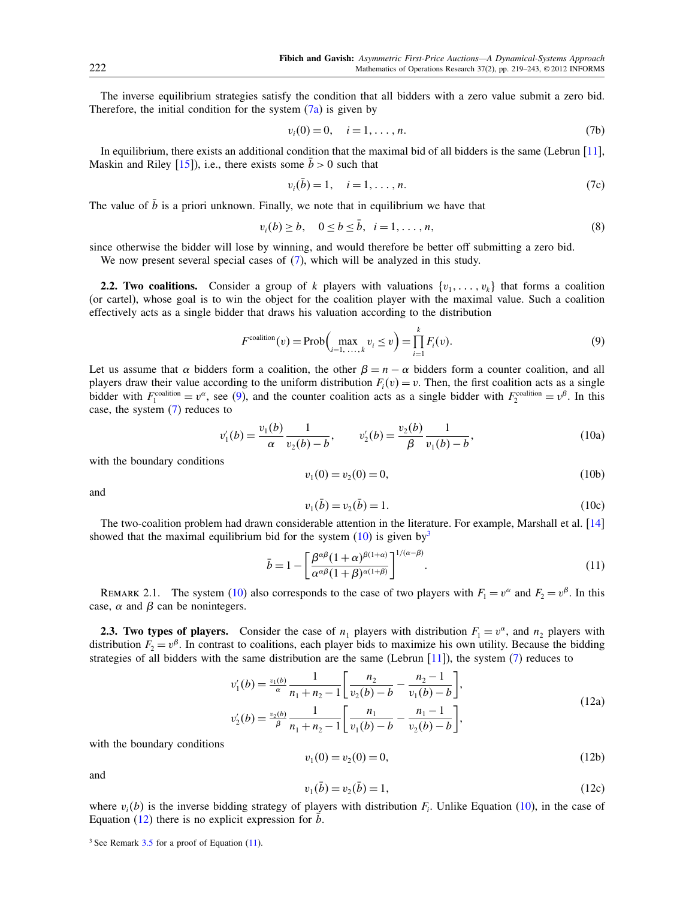The inverse equilibrium strategies satisfy the condition that all bidders with a zero value submit a zero bid. Therefore, the initial condition for the system  $(7a)$  is given by

<span id="page-3-13"></span>
$$
v_i(0) = 0, \quad i = 1, \dots, n. \tag{7b}
$$

In equilibrium, there exists an additional condition that the maximal bid of all bidders is the same (Lebrun [\[11\]](#page-24-5), Maskin and Riley [\[15\]](#page-24-11)), i.e., there exists some  $\bar{b} > 0$  such that

<span id="page-3-14"></span>
$$
v_i(\bar{b}) = 1, \quad i = 1, \dots, n. \tag{7c}
$$

The value of  $\bar{b}$  is a priori unknown. Finally, we note that in equilibrium we have that

<span id="page-3-10"></span>
$$
v_i(b) \ge b, \quad 0 \le b \le \bar{b}, \quad i = 1, \dots, n,
$$
\n
$$
(8)
$$

since otherwise the bidder will lose by winning, and would therefore be better off submitting a zero bid.

We now present several special cases of  $(7)$ , which will be analyzed in this study.

<span id="page-3-0"></span>**2.2. Two coalitions.** Consider a group of k players with valuations  $\{v_1, \ldots, v_k\}$  that forms a coalition (or cartel), whose goal is to win the object for the coalition player with the maximal value. Such a coalition effectively acts as a single bidder that draws his valuation according to the distribution

<span id="page-3-2"></span>
$$
F^{\text{coalition}}(v) = \text{Prob}\Big(\max_{i=1,\dots,k} v_i \le v\Big) = \prod_{i=1}^k F_i(v). \tag{9}
$$

Let us assume that  $\alpha$  bidders form a coalition, the other  $\beta = n - \alpha$  bidders form a counter coalition, and all players draw their value according to the uniform distribution  $F_i(v) = v$ . Then, the first coalition acts as a single bidder with  $F_1^{\text{coalition}} = v^{\alpha}$ , see [\(9\)](#page-3-2), and the counter coalition acts as a single bidder with  $F_2^{\text{coalition}} = v^{\beta}$ . In this case, the system [\(7\)](#page-2-0) reduces to

<span id="page-3-7"></span><span id="page-3-3"></span>
$$
v_1'(b) = \frac{v_1(b)}{\alpha} \frac{1}{v_2(b) - b}, \qquad v_2'(b) = \frac{v_2(b)}{\beta} \frac{1}{v_1(b) - b},
$$
(10a)

with the boundary conditions

<span id="page-3-9"></span>
$$
v_1(0) = v_2(0) = 0,\t(10b)
$$

and

<span id="page-3-8"></span>
$$
v_1(\bar{b}) = v_2(\bar{b}) = 1.
$$
 (10c)

The two-coalition problem had drawn considerable attention in the literature. For example, Marshall et al. [\[14\]](#page-24-7) showed that the maximal equilibrium bid for the system  $(10)$  is given by<sup>[3](#page-3-4)</sup>

<span id="page-3-6"></span>
$$
\bar{b} = 1 - \left[ \frac{\beta^{\alpha\beta} (1+\alpha)^{\beta(1+\alpha)}}{\alpha^{\alpha\beta} (1+\beta)^{\alpha(1+\beta)}} \right]^{1/(\alpha-\beta)}.
$$
\n(11)

REMARK 2.1. The system [\(10\)](#page-3-3) also corresponds to the case of two players with  $F_1 = v^{\alpha}$  and  $F_2 = v^{\beta}$ . In this case,  $\alpha$  and  $\beta$  can be nonintegers.

<span id="page-3-1"></span>**2.3. Two types of players.** Consider the case of  $n_1$  players with distribution  $F_1 = v^{\alpha}$ , and  $n_2$  players with distribution  $F_2 = v^{\beta}$ . In contrast to coalitions, each player bids to maximize his own utility. Because the bidding strategies of all bidders with the same distribution are the same (Lebrun  $[11]$ ), the system [\(7\)](#page-2-0) reduces to

<span id="page-3-11"></span>
$$
v'_{1}(b) = \frac{v_{1}(b)}{\alpha} \frac{1}{n_{1} + n_{2} - 1} \left[ \frac{n_{2}}{v_{2}(b) - b} - \frac{n_{2} - 1}{v_{1}(b) - b} \right],
$$
  
\n
$$
v'_{2}(b) = \frac{v_{2}(b)}{\beta} \frac{1}{n_{1} + n_{2} - 1} \left[ \frac{n_{1}}{v_{1}(b) - b} - \frac{n_{1} - 1}{v_{2}(b) - b} \right],
$$
\n(12a)

with the boundary conditions

<span id="page-3-12"></span><span id="page-3-5"></span>
$$
v_1(0) = v_2(0) = 0,\t\t(12b)
$$

and

$$
v_1(\bar{b}) = v_2(\bar{b}) = 1,\tag{12c}
$$

where  $v_i(b)$  is the inverse bidding strategy of players with distribution  $F_i$ . Unlike Equation [\(10\)](#page-3-3), in the case of Equation  $(12)$  there is no explicit expression for b.

<span id="page-3-4"></span><sup>&</sup>lt;sup>3</sup> See Remark [3.5](#page-9-0) for a proof of Equation [\(11\)](#page-3-6).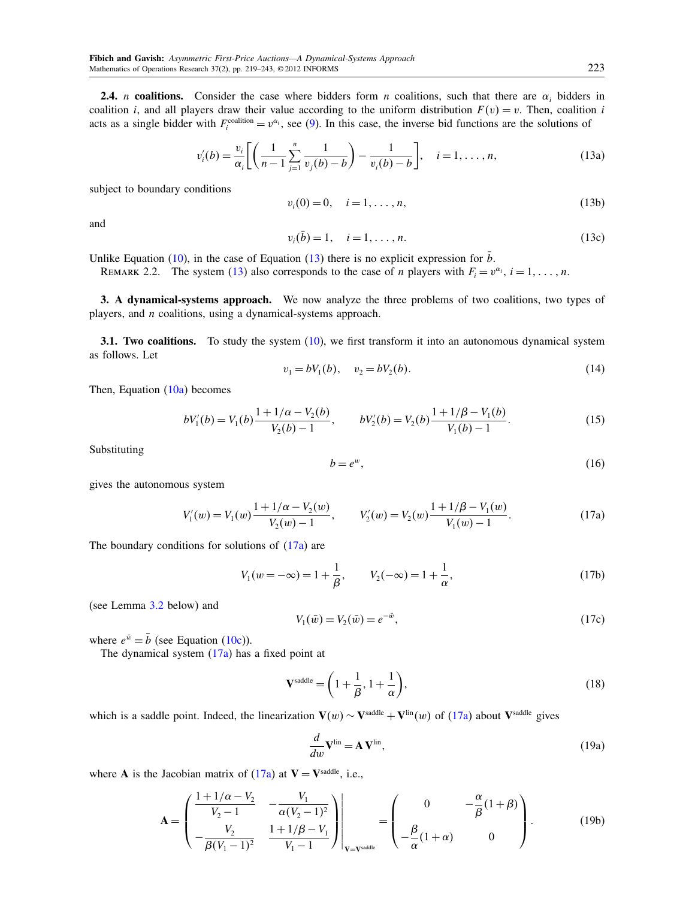<span id="page-4-0"></span>**2.4.** *n* coalitions. Consider the case where bidders form *n* coalitions, such that there are  $\alpha_i$  bidders in coalition i, and all players draw their value according to the uniform distribution  $F(v) = v$ . Then, coalition i acts as a single bidder with  $F_i^{\text{condition}} = v^{\alpha_i}$ , see [\(9\)](#page-3-2). In this case, the inverse bid functions are the solutions of

<span id="page-4-11"></span>
$$
v'_{i}(b) = \frac{v_{i}}{\alpha_{i}} \left[ \left( \frac{1}{n-1} \sum_{j=1}^{n} \frac{1}{v_{j}(b) - b} \right) - \frac{1}{v_{i}(b) - b} \right], \quad i = 1, ..., n,
$$
 (13a)

subject to boundary conditions

<span id="page-4-3"></span>
$$
v_i(0) = 0, \quad i = 1, \dots, n,
$$
\n(13b)

and

$$
v_i(\bar{b}) = 1, \quad i = 1, \dots, n. \tag{13c}
$$

Unlike Equation [\(10\)](#page-3-3), in the case of Equation [\(13\)](#page-4-3) there is no explicit expression for  $\bar{b}$ .

REMARK 2.2. The system [\(13\)](#page-4-3) also corresponds to the case of *n* players with  $F_i = v^{\alpha_i}$ ,  $i = 1, ..., n$ .

<span id="page-4-1"></span>3. A dynamical-systems approach. We now analyze the three problems of two coalitions, two types of players, and  $n$  coalitions, using a dynamical-systems approach.

<span id="page-4-2"></span>**3.1. Two coalitions.** To study the system  $(10)$ , we first transform it into an autonomous dynamical system as follows. Let

<span id="page-4-5"></span>
$$
v_1 = bV_1(b), \quad v_2 = bV_2(b). \tag{14}
$$

Then, Equation  $(10a)$  becomes

<span id="page-4-9"></span>
$$
bV'_{1}(b) = V_{1}(b)\frac{1+1/\alpha - V_{2}(b)}{V_{2}(b)-1}, \qquad bV'_{2}(b) = V_{2}(b)\frac{1+1/\beta - V_{1}(b)}{V_{1}(b)-1}.
$$
 (15)

Substituting

<span id="page-4-10"></span>
$$
b = e^w,\tag{16}
$$

gives the autonomous system

<span id="page-4-7"></span><span id="page-4-4"></span>
$$
V_1'(w) = V_1(w) \frac{1 + 1/\alpha - V_2(w)}{V_2(w) - 1}, \qquad V_2'(w) = V_2(w) \frac{1 + 1/\beta - V_1(w)}{V_1(w) - 1}.
$$
 (17a)

The boundary conditions for solutions of [\(17a\)](#page-4-4) are

<span id="page-4-6"></span>
$$
V_1(w = -\infty) = 1 + \frac{1}{\beta}, \qquad V_2(-\infty) = 1 + \frac{1}{\alpha}, \tag{17b}
$$

(see Lemma [3.2](#page-5-0) below) and

<span id="page-4-8"></span>
$$
V_1(\bar{w}) = V_2(\bar{w}) = e^{-\bar{w}},\tag{17c}
$$

where  $e^{\bar{w}} = \bar{b}$  (see Equation [\(10c\)](#page-3-8)).

The dynamical system [\(17a\)](#page-4-4) has a fixed point at

$$
\mathbf{V}^{\text{saddle}} = \left(1 + \frac{1}{\beta}, 1 + \frac{1}{\alpha}\right),\tag{18}
$$

which is a saddle point. Indeed, the linearization  $V(w) \sim V^{\text{saddle}} + V^{\text{lin}}(w)$  of [\(17a\)](#page-4-4) about V<sup>saddle</sup> gives

$$
\frac{d}{dw}\mathbf{V}^{\text{lin}} = \mathbf{A}\,\mathbf{V}^{\text{lin}},\tag{19a}
$$

where **A** is the Jacobian matrix of  $(17a)$  at  $V = V^{\text{saddle}}$ , i.e.,

$$
\mathbf{A} = \begin{pmatrix} \frac{1+1/\alpha - V_2}{V_2 - 1} & -\frac{V_1}{\alpha (V_2 - 1)^2} \\ -\frac{V_2}{\beta (V_1 - 1)^2} & \frac{1+1/\beta - V_1}{V_1 - 1} \end{pmatrix} \Bigg|_{\mathbf{V} = \mathbf{V}^{\text{saddle}}} = \begin{pmatrix} 0 & -\frac{\alpha}{\beta} (1+\beta) \\ -\frac{\beta}{\alpha} (1+\alpha) & 0 \end{pmatrix}.
$$
 (19b)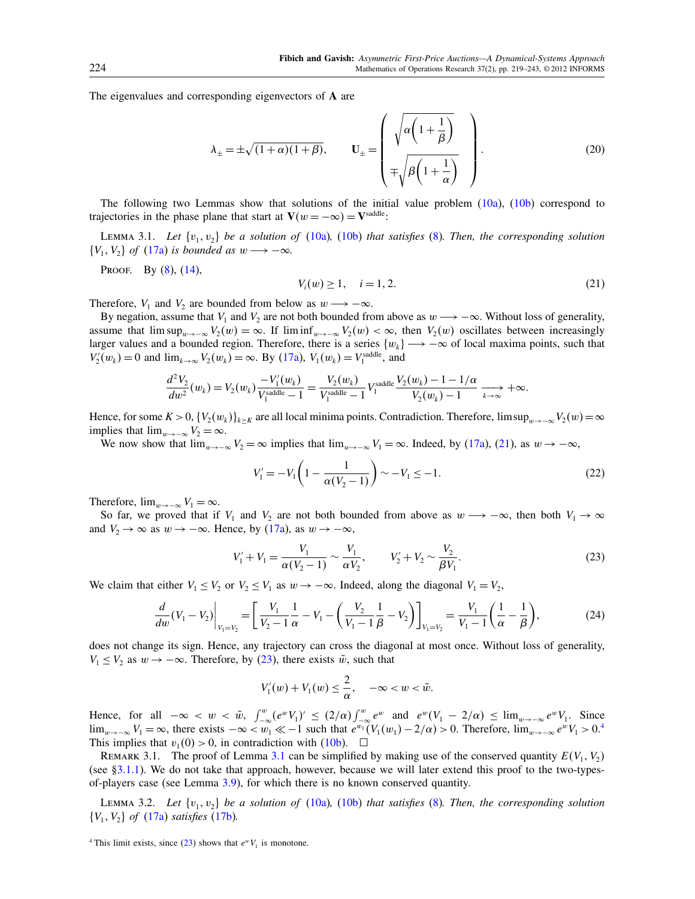The eigenvalues and corresponding eigenvectors of A are

<span id="page-5-5"></span>
$$
\lambda_{\pm} = \pm \sqrt{(1+\alpha)(1+\beta)}, \qquad \mathbf{U}_{\pm} = \begin{pmatrix} \sqrt{\alpha \left(1 + \frac{1}{\beta}\right)} \\ \mp \sqrt{\beta \left(1 + \frac{1}{\alpha}\right)} \end{pmatrix}.
$$
 (20)

The following two Lemmas show that solutions of the initial value problem [\(10a\)](#page-3-7), [\(10b\)](#page-3-9) correspond to trajectories in the phase plane that start at  $\mathbf{V}(w = -\infty) = \mathbf{V}^{\text{saddle}}$ .

<span id="page-5-4"></span>LEMMA 3.1. Let  $\{v_1, v_2\}$  be a solution of [\(10a\)](#page-3-7), [\(10b\)](#page-3-9) that satisfies [\(8\)](#page-3-10). Then, the corresponding solution  $\{V_1, V_2\}$  of  $(17a)$  is bounded as  $w \longrightarrow -\infty$ .

PROOF. By [\(8\)](#page-3-10), [\(14\)](#page-4-5),

<span id="page-5-1"></span>
$$
V_i(w) \ge 1, \quad i = 1, 2. \tag{21}
$$

Therefore,  $V_1$  and  $V_2$  are bounded from below as  $w \rightarrow -\infty$ .

By negation, assume that  $V_1$  and  $V_2$  are not both bounded from above as  $w \rightarrow -\infty$ . Without loss of generality, assume that  $\limsup_{w\to-\infty} V_2(w) = \infty$ . If  $\liminf_{w\to-\infty} V_2(w) < \infty$ , then  $V_2(w)$  oscillates between increasingly larger values and a bounded region. Therefore, there is a series  $\{w_k\} \longrightarrow -\infty$  of local maxima points, such that  $V_2'(w_k) = 0$  and  $\lim_{k \to \infty} V_2(w_k) = \infty$ . By [\(17a\)](#page-4-4),  $V_1(w_k) = V_1^{\text{saddle}}$ , and

$$
\frac{d^2V_2}{dw^2}(w_k) = V_2(w_k)\frac{-V_1'(w_k)}{V_1^{\text{saddle}}-1} = \frac{V_2(w_k)}{V_1^{\text{saddle}}-1}V_1^{\text{saddle}}\frac{V_2(w_k)-1-1/\alpha}{V_2(w_k)-1} \xrightarrow[k \to \infty]{} + \infty.
$$

Hence, for some  $K > 0$ ,  $\{V_2(w_k)\}_{k \geq K}$  are all local minima points. Contradiction. Therefore, limsup $_{w \to -\infty} V_2(w) = \infty$ implies that  $\lim_{w\to-\infty} V_2 = \infty$ .

We now show that  $\lim_{w\to-\infty} V_2 = \infty$  implies that  $\lim_{w\to-\infty} V_1 = \infty$ . Indeed, by [\(17a\)](#page-4-4), [\(21\)](#page-5-1), as  $w \to -\infty$ ,

$$
V_1' = -V_1 \left( 1 - \frac{1}{\alpha (V_2 - 1)} \right) \sim -V_1 \le -1. \tag{22}
$$

Therefore,  $\lim_{w \to -\infty} V_1 = \infty$ .

So far, we proved that if  $V_1$  and  $V_2$  are not both bounded from above as  $w \rightarrow -\infty$ , then both  $V_1 \rightarrow \infty$ and  $V_2 \to \infty$  as  $w \to -\infty$ . Hence, by [\(17a\)](#page-4-4), as  $w \to -\infty$ ,

<span id="page-5-2"></span>
$$
V_1' + V_1 = \frac{V_1}{\alpha (V_2 - 1)} \sim \frac{V_1}{\alpha V_2}, \qquad V_2' + V_2 \sim \frac{V_2}{\beta V_1}.
$$
 (23)

We claim that either  $V_1 \le V_2$  or  $V_2 \le V_1$  as  $w \to -\infty$ . Indeed, along the diagonal  $V_1 = V_2$ ,

<span id="page-5-6"></span>
$$
\frac{d}{dw}(V_1 - V_2)\Big|_{V_1 = V_2} = \left[\frac{V_1}{V_2 - 1} \frac{1}{\alpha} - V_1 - \left(\frac{V_2}{V_1 - 1} \frac{1}{\beta} - V_2\right)\right]_{V_1 = V_2} = \frac{V_1}{V_1 - 1} \left(\frac{1}{\alpha} - \frac{1}{\beta}\right),\tag{24}
$$

does not change its sign. Hence, any trajectory can cross the diagonal at most once. Without loss of generality,  $V_1 \leq V_2$  as  $w \to -\infty$ . Therefore, by [\(23\)](#page-5-2), there exists  $\tilde{w}$ , such that

$$
V_1'(w) + V_1(w) \leq \frac{2}{\alpha}, \quad -\infty < w < \tilde{w}.
$$

Hence, for all  $-\infty < w < \tilde{w}$ ,  $\int_{-\infty}^{w} (e^{w} V_1)' \le (2/\alpha) \int_{-\infty}^{w} e^{w}$  and  $e^{w}(V_1 - 2/\alpha) \le \lim_{w \to -\infty} e^{w} V_1$ . Since  $\lim_{w\to-\infty} V_1 = \infty$ , there exists  $-\infty < w_1 \ll -1$  such that  $e^{w_1}(V_1(w_1) - 2/\alpha) > 0$ . Therefore,  $\lim_{w\to-\infty} e^{w}V_1 > 0$ .<sup>[4](#page-5-3)</sup> This implies that  $v_1(0) > 0$ , in contradiction with [\(10b\)](#page-3-9).  $\Box$ 

REMARK [3.1](#page-5-4). The proof of Lemma 3.1 can be simplified by making use of the conserved quantity  $E(V_1, V_2)$ (see [§3.1.1\)](#page-8-0). We do not take that approach, however, because we will later extend this proof to the two-typesof-players case (see Lemma [3.9\)](#page-11-1), for which there is no known conserved quantity.

<span id="page-5-0"></span>LEMMA 3.2. Let  $\{v_1, v_2\}$  be a solution of [\(10a\)](#page-3-7), [\(10b\)](#page-3-9) that satisfies [\(8\)](#page-3-10). Then, the corresponding solution  $\{V_1, V_2\}$  of  $(17a)$  satisfies  $(17b)$ .

<span id="page-5-3"></span><sup>&</sup>lt;sup>4</sup> This limit exists, since [\(23\)](#page-5-2) shows that  $e^wV_1$  is monotone.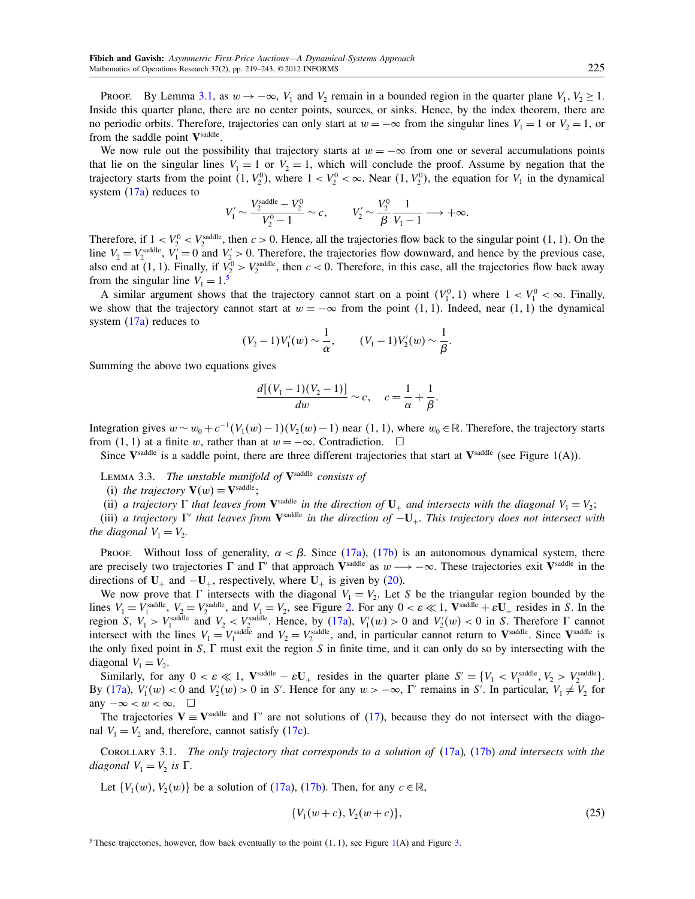PROOF. By Lemma [3.1,](#page-5-4) as  $w \to -\infty$ ,  $V_1$  and  $V_2$  remain in a bounded region in the quarter plane  $V_1$ ,  $V_2 \ge 1$ . Inside this quarter plane, there are no center points, sources, or sinks. Hence, by the index theorem, there are no periodic orbits. Therefore, trajectories can only start at  $w = -\infty$  from the singular lines  $V_1 = 1$  or  $V_2 = 1$ , or from the saddle point Vsaddle.

We now rule out the possibility that trajectory starts at  $w = -\infty$  from one or several accumulations points that lie on the singular lines  $V_1 = 1$  or  $V_2 = 1$ , which will conclude the proof. Assume by negation that the trajectory starts from the point  $(1, V_2^0)$ , where  $1 < V_2^0 < \infty$ . Near  $(1, V_2^0)$ , the equation for  $V_1$  in the dynamical system  $(17a)$  reduces to

$$
V_1' \sim \frac{V_2^{\text{saddle}} - V_2^0}{V_2^0 - 1} \sim c, \qquad V_2' \sim \frac{V_2^0}{\beta} \frac{1}{V_1 - 1} \longrightarrow +\infty.
$$

Therefore, if  $1 < V_2^0 < V_2^{\text{addle}}$ , then  $c > 0$ . Hence, all the trajectories flow back to the singular point  $(1, 1)$ . On the line  $V_2 = V_2^{\text{saddle}}$ ,  $V_1' = 0$  and  $V_2' > 0$ . Therefore, the trajectories flow downward, and hence by the previous case, also end at (1, 1). Finally, if  $V_2^0 > V_2^{\text{saddle}}$ , then  $c < 0$ . Therefore, in this case, all the trajectories flow back away from the singular line  $V_1 = 1.5$  $V_1 = 1.5$ 

A similar argument shows that the trajectory cannot start on a point  $(V_1^0, 1)$  where  $1 < V_1^0 < \infty$ . Finally, we show that the trajectory cannot start at  $w = -\infty$  from the point  $(1, 1)$ . Indeed, near  $(1, 1)$  the dynamical system [\(17a\)](#page-4-4) reduces to

$$
(V_2-1)V'_1(w) \sim \frac{1}{\alpha}, \qquad (V_1-1)V'_2(w) \sim \frac{1}{\beta}.
$$

Summing the above two equations gives

$$
\frac{d[(V_1 - 1)(V_2 - 1)]}{dw} \sim c, \quad c = \frac{1}{\alpha} + \frac{1}{\beta}.
$$

Integration gives  $w \sim w_0 + c^{-1}(V_1(w) - 1)(V_2(w) - 1)$  near  $(1, 1)$ , where  $w_0 \in \mathbb{R}$ . Therefore, the trajectory starts from  $(1, 1)$  at a finite w, rather than at  $w = -\infty$ . Contradiction.  $\square$ 

Since  $V^{\text{saddle}}$  is a saddle point, there are three different trajectories that start at  $V^{\text{saddle}}$  (see Figure [1\(](#page-7-0)A)).

<span id="page-6-2"></span>LEMMA 3.3. The unstable manifold of  $V^{\text{saddle}}$  consists of

(i) the trajectory  $\mathbf{V}(w) \equiv \mathbf{V}^{\text{saddle}}$ ;

(ii) a trajectory  $\Gamma$  that leaves from  $V^{\text{addle}}$  in the direction of  $U_+$  and intersects with the diagonal  $V_1 = V_2$ ;

(iii) a trajectory  $\Gamma'$  that leaves from  $V^{\text{saddle}}$  in the direction of  $-U_+$ . This trajectory does not intersect with the diagonal  $V_1 = V_2$ .

Proof. Without loss of generality,  $\alpha < \beta$ . Since [\(17a\)](#page-4-4), [\(17b\)](#page-4-6) is an autonomous dynamical system, there are precisely two trajectories  $\Gamma$  and  $\Gamma'$  that approach V<sup>saddle</sup> as  $w \longrightarrow -\infty$ . These trajectories exit V<sup>saddle</sup> in the directions of  $U_+$  and  $-U_+$ , respectively, where  $U_+$  is given by [\(20\)](#page-5-5).

We now prove that  $\Gamma$  intersects with the diagonal  $V_1 = V_2$ . Let S be the triangular region bounded by the lines  $V_1 = V_1^{\text{saddle}}$ ,  $V_2 = V_2^{\text{saddle}}$ , and  $V_1 = V_2$ , see Figure [2.](#page-7-1) For any  $0 < \varepsilon \ll 1$ , V<sup>saddle</sup> +  $\varepsilon$ U<sub>+</sub> resides in S. In the region S,  $V_1 > V_1^{\text{saddle}}$  and  $V_2 < V_2^{\text{saddle}}$ . Hence, by [\(17a\)](#page-4-4),  $V_1'(w) > 0$  and  $V_2'(w) < 0$  in S. Therefore  $\Gamma$  cannot intersect with the lines  $V_1 = V_1^{\text{saddle}}$  and  $V_2 = V_2^{\text{saddle}}$ , and, in particular cannot return to V<sup>saddle</sup>. Since V<sup>saddle</sup> is the only fixed point in  $S$ ,  $\Gamma$  must exit the region  $S$  in finite time, and it can only do so by intersecting with the diagonal  $V_1 = V_2$ .

Similarly, for any  $0 < \varepsilon \ll 1$ ,  $\mathbf{V}^{\text{saddle}} - \varepsilon \mathbf{U}_+$  resides in the quarter plane  $S' = \{V_1 < V_1^{\text{saddle}}, V_2 > V_2^{\text{saddle}}\}$ . By [\(17a\)](#page-4-4),  $V'_1(w) < 0$  and  $V'_2(w) > 0$  in S'. Hence for any  $w > -\infty$ ,  $\Gamma'$  remains in S'. In particular,  $V_1 \neq V_2$  for any  $-\infty < w < \infty$ . □

The trajectories  $V = V^{\text{saddle}}$  and  $\Gamma'$  are not solutions of [\(17\)](#page-4-7), because they do not intersect with the diagonal  $V_1 = V_2$  and, therefore, cannot satisfy [\(17c\)](#page-4-8).

<span id="page-6-3"></span>COROLLARY 3.1. The only trajectory that corresponds to a solution of  $(17a)$ ,  $(17b)$  and intersects with the diagonal  $V_1 = V_2$  is  $\Gamma$ .

Let  $\{V_1(w), V_2(w)\}\$  be a solution of [\(17a\)](#page-4-4), [\(17b\)](#page-4-6). Then, for any  $c \in \mathbb{R}$ ,

<span id="page-6-1"></span>
$$
\{V_1(w+c), V_2(w+c)\},\tag{25}
$$

<span id="page-6-0"></span><sup>5</sup> These trajectories, however, flow back eventually to the point  $(1, 1)$ , see Figure [1\(](#page-7-0)A) and Figure [3.](#page-8-1)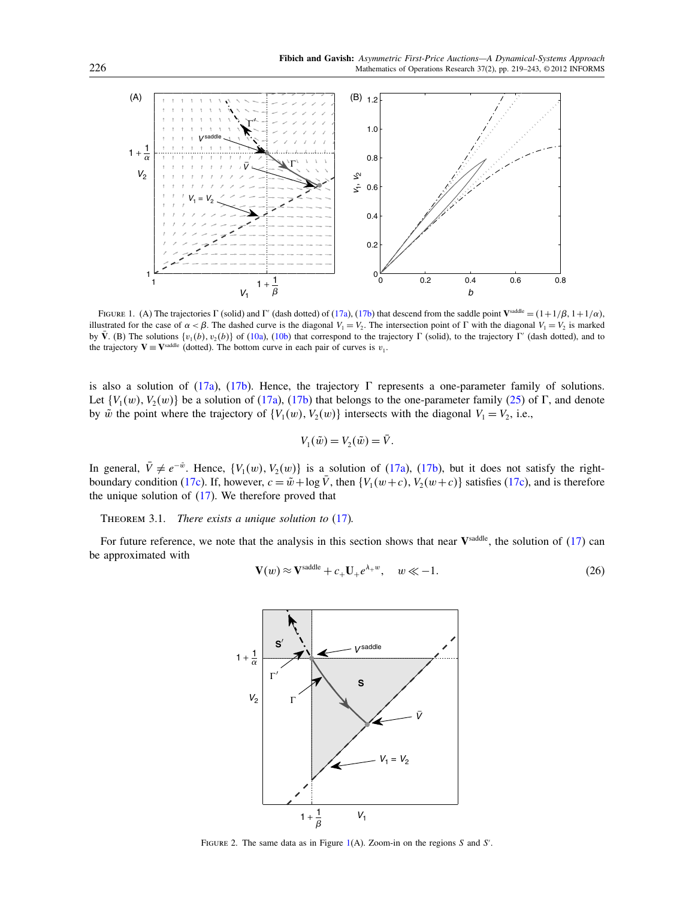

<span id="page-7-0"></span>FIGURE 1. (A) The trajectories  $\Gamma$  (solid) and  $\Gamma'$  (dash dotted) of [\(17a\)](#page-4-4), [\(17b\)](#page-4-6) that descend from the saddle point V<sup>saddle</sup> =  $(1+1/\beta, 1+1/\alpha)$ , illustrated for the case of  $\alpha < \beta$ . The dashed curve is the diagonal  $V_1 = V_2$ . The intersection point of  $\Gamma$  with the diagonal  $V_1 = V_2$  is marked by  $\bar{V}$ . (B) The solutions  $\{v_1(b), v_2(b)\}$  of [\(10a\)](#page-3-7), [\(10b\)](#page-3-9) that correspond to the trajectory  $\Gamma$  (solid), to the trajectory  $\Gamma'$  (dash dotted), and to the trajectory  $V = V^{\text{saddle}}$  (dotted). The bottom curve in each pair of curves is  $v_1$ .

is also a solution of [\(17a\)](#page-4-4), [\(17b\)](#page-4-6). Hence, the trajectory  $\Gamma$  represents a one-parameter family of solutions. Let  $\{V_1(w), V_2(w)\}$  be a solution of [\(17a\)](#page-4-4), [\(17b\)](#page-4-6) that belongs to the one-parameter family [\(25\)](#page-6-1) of  $\Gamma$ , and denote by  $\tilde{w}$  the point where the trajectory of  $\{V_1(w), V_2(w)\}$  intersects with the diagonal  $V_1 = V_2$ , i.e.,

$$
V_1(\tilde{w}) = V_2(\tilde{w}) = \bar{V}.
$$

In general,  $\overline{V} \neq e^{-\tilde{w}}$ . Hence,  $\{V_1(w), V_2(w)\}\$ is a solution of [\(17a\)](#page-4-4), [\(17b\)](#page-4-6), but it does not satisfy the right-boundary condition [\(17c\)](#page-4-8). If, however,  $c = \tilde{w} + \log \bar{V}$ , then  $\{V_1(w+c), V_2(w+c)\}$  satisfies (17c), and is therefore the unique solution of  $(17)$ . We therefore proved that

<span id="page-7-3"></span>THEOREM 3.1. There exists a unique solution to  $(17)$ .

For future reference, we note that the analysis in this section shows that near  $V^{\text{saddle}}$ , the solution of  $(17)$  can be approximated with

<span id="page-7-2"></span>
$$
\mathbf{V}(w) \approx \mathbf{V}^{\text{saddle}} + c_+ \mathbf{U}_+ e^{\lambda_+ w}, \quad w \ll -1. \tag{26}
$$



<span id="page-7-1"></span>FIGURE 2. The same data as in Figure  $1(A)$  $1(A)$ . Zoom-in on the regions S and S'.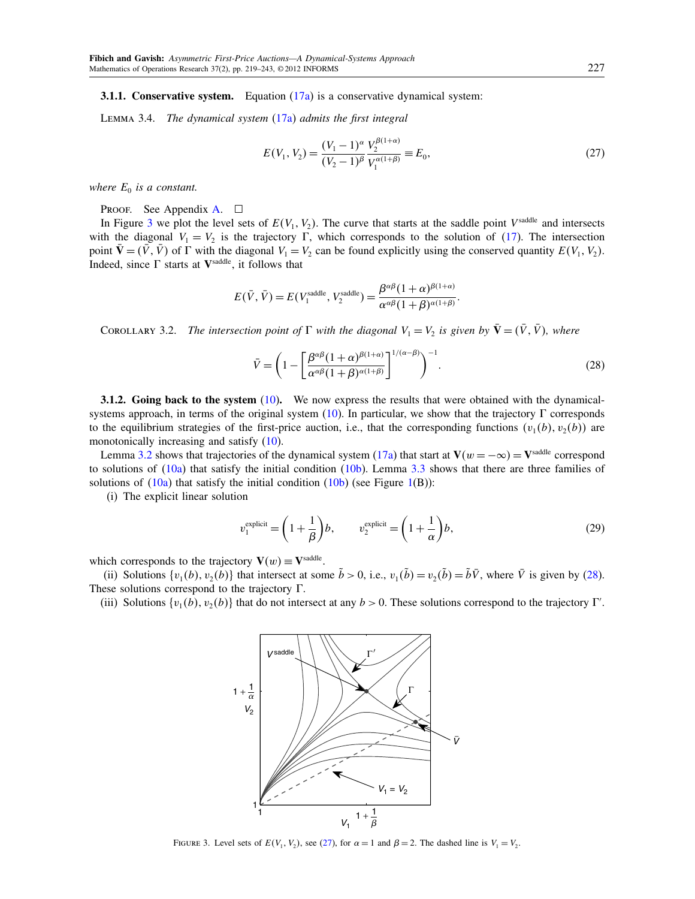<span id="page-8-4"></span><span id="page-8-0"></span>**3.1.1. Conservative system.** Equation  $(17a)$  is a conservative dynamical system:

LEMMA 3.4. The dynamical system  $(17a)$  admits the first integral

<span id="page-8-3"></span>
$$
E(V_1, V_2) = \frac{(V_1 - 1)^{\alpha}}{(V_2 - 1)^{\beta}} \frac{V_2^{\beta(1 + \alpha)}}{V_1^{\alpha(1 + \beta)}} \equiv E_0,
$$
\n(27)

where  $E_0$  is a constant.

PROOF. See Appendix [A.](#page-21-0)  $\square$ 

In Figure [3](#page-8-1) we plot the level sets of  $E(V_1, V_2)$ . The curve that starts at the saddle point  $V^{\text{saddle}}$  and intersects with the diagonal  $V_1 = V_2$  is the trajectory  $\Gamma$ , which corresponds to the solution of [\(17\)](#page-4-7). The intersection point  $\bar{\mathbf{V}} = (\bar{V}, \bar{V})$  of  $\Gamma$  with the diagonal  $V_1 = V_2$  can be found explicitly using the conserved quantity  $E(V_1, V_2)$ . Indeed, since  $\Gamma$  starts at  $V^{\text{saddle}}$ , it follows that

$$
E(\bar{V}, \bar{V}) = E(V_1^{\text{saddle}}, V_2^{\text{saddle}}) = \frac{\beta^{\alpha\beta}(1+\alpha)^{\beta(1+\alpha)}}{\alpha^{\alpha\beta}(1+\beta)^{\alpha(1+\beta)}}.
$$

COROLLARY 3.2. The intersection point of  $\Gamma$  with the diagonal  $V_1 = V_2$  is given by  $\bar{\bf V} = (\bar{V}, \bar{V})$ , where

<span id="page-8-2"></span>
$$
\bar{V} = \left(1 - \left[\frac{\beta^{\alpha\beta}(1+\alpha)^{\beta(1+\alpha)}}{\alpha^{\alpha\beta}(1+\beta)^{\alpha(1+\beta)}}\right]^{1/(\alpha-\beta)}\right)^{-1}.
$$
\n(28)

3.1.2. Going back to the system [\(10\)](#page-3-3). We now express the results that were obtained with the dynamical-systems approach, in terms of the original system [\(10\)](#page-3-3). In particular, we show that the trajectory  $\Gamma$  corresponds to the equilibrium strategies of the first-price auction, i.e., that the corresponding functions  $(v_1(b), v_2(b))$  are monotonically increasing and satisfy [\(10\)](#page-3-3).

Lemma [3.2](#page-5-0) shows that trajectories of the dynamical system [\(17a\)](#page-4-4) that start at  $V(w = -\infty) = V^{\text{saddle}}$  correspond to solutions of  $(10a)$  that satisfy the initial condition  $(10b)$ . Lemma [3.3](#page-6-2) shows that there are three families of solutions of  $(10a)$  that satisfy the initial condition  $(10b)$  (see Figure [1\(](#page-7-0)B)):

(i) The explicit linear solution

$$
v_1^{\text{explicit}} = \left(1 + \frac{1}{\beta}\right)b, \qquad v_2^{\text{explicit}} = \left(1 + \frac{1}{\alpha}\right)b,\tag{29}
$$

which corresponds to the trajectory  $\mathbf{V}(w) \equiv \mathbf{V}^{\text{saddle}}$ .

(ii) Solutions  $\{v_1(b), v_2(b)\}\$  that intersect at some  $\tilde{b} > 0$ , i.e.,  $v_1(\tilde{b}) = v_2(\tilde{b}) = \tilde{b}\overline{V}$ , where  $\overline{V}$  is given by [\(28\)](#page-8-2). These solutions correspond to the trajectory  $\Gamma$ .

(iii) Solutions  $\{v_1(b), v_2(b)\}\$  that do not intersect at any  $b > 0$ . These solutions correspond to the trajectory  $\Gamma'$ .



<span id="page-8-1"></span>FIGURE 3. Level sets of  $E(V_1, V_2)$ , see [\(27\)](#page-8-3), for  $\alpha = 1$  and  $\beta = 2$ . The dashed line is  $V_1 = V_2$ .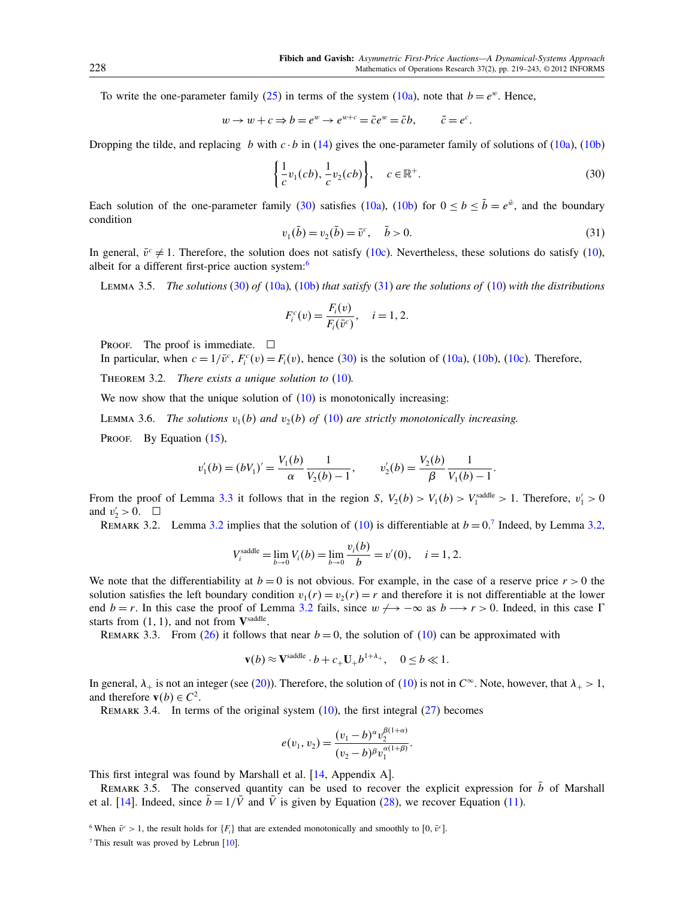To write the one-parameter family [\(25\)](#page-6-1) in terms of the system [\(10a\)](#page-3-7), note that  $b = e^w$ . Hence,

$$
w \to w + c \Rightarrow b = e^w \to e^{w+c} = \tilde{c}e^w = \tilde{c}b, \qquad \tilde{c} = e^c.
$$

Dropping the tilde, and replacing b with  $c \cdot b$  in [\(14\)](#page-4-5) gives the one-parameter family of solutions of [\(10a\)](#page-3-7), [\(10b\)](#page-3-9)

<span id="page-9-1"></span>
$$
\left\{\frac{1}{c}v_1(cb), \frac{1}{c}v_2(cb)\right\}, \quad c \in \mathbb{R}^+.
$$
\n(30)

Each solution of the one-parameter family [\(30\)](#page-9-1) satisfies [\(10a\)](#page-3-7), [\(10b\)](#page-3-9) for  $0 \le b \le \tilde{b} = e^{\tilde{w}}$ , and the boundary condition

<span id="page-9-3"></span>
$$
v_1(\tilde{b}) = v_2(\tilde{b}) = \bar{v}^c, \quad \tilde{b} > 0.
$$
 (31)

In general,  $\bar{v}^c \neq 1$ . Therefore, the solution does not satisfy [\(10c\)](#page-3-8). Nevertheless, these solutions do satisfy [\(10\)](#page-3-3), albeit for a different first-price auction system:<sup>[6](#page-9-2)</sup>

LEMMA 3.5. The solutions [\(30\)](#page-9-1) of [\(10a\)](#page-3-7), [\(10b\)](#page-3-9) that satisfy [\(31\)](#page-9-3) are the solutions of [\(10\)](#page-3-3) with the distributions

$$
F_i^c(v) = \frac{F_i(v)}{F_i(\bar{v}^c)}, \quad i = 1, 2.
$$

PROOF. The proof is immediate.  $\square$ 

In particular, when  $c = 1/\bar{v}^c$ ,  $F_i^c(v) = F_i(v)$ , hence [\(30\)](#page-9-1) is the solution of [\(10a\)](#page-3-7), [\(10b\)](#page-3-9), [\(10c\)](#page-3-8). Therefore,

<span id="page-9-5"></span>THEOREM 3.2. There exists a unique solution to  $(10)$ .

We now show that the unique solution of  $(10)$  is monotonically increasing:

LEMMA 3.6. The solutions  $v_1(b)$  and  $v_2(b)$  of [\(10\)](#page-3-3) are strictly monotonically increasing.

PROOF. By Equation [\(15\)](#page-4-9),

$$
v'_1(b) = (bV_1)' = \frac{V_1(b)}{\alpha} \frac{1}{V_2(b) - 1}, \qquad v'_2(b) = \frac{V_2(b)}{\beta} \frac{1}{V_1(b) - 1}.
$$

From the proof of Lemma [3.3](#page-6-2) it follows that in the region S,  $V_2(b) > V_1(b) > V_1^{\text{saddle}} > 1$ . Therefore,  $v_1' > 0$ and  $v'_2 > 0$ .  $\Box$ 

<span id="page-9-6"></span>REMARK [3.2](#page-5-0). Lemma 3.2 implies that the solution of [\(10\)](#page-3-3) is differentiable at  $b = 0$ .<sup>[7](#page-9-4)</sup> Indeed, by Lemma [3.2,](#page-5-0)

$$
V_i^{\text{saddle}} = \lim_{b \to 0} V_i(b) = \lim_{b \to 0} \frac{v_i(b)}{b} = v'(0), \quad i = 1, 2.
$$

We note that the differentiability at  $b = 0$  is not obvious. For example, in the case of a reserve price  $r > 0$  the solution satisfies the left boundary condition  $v_1(r) = v_2(r) = r$  and therefore it is not differentiable at the lower end  $b = r$ . In this case the proof of Lemma [3.2](#page-5-0) fails, since  $w \rightarrow -\infty$  as  $b \rightarrow r > 0$ . Indeed, in this case  $\Gamma$ starts from  $(1, 1)$ , and not from  $V^{\text{saddle}}$ .

REMARK 3.3. From [\(26\)](#page-7-2) it follows that near  $b = 0$ , the solution of [\(10\)](#page-3-3) can be approximated with

$$
\mathbf{v}(b) \approx \mathbf{V}^{\text{saddle}} \cdot b + c_+ \mathbf{U}_+ b^{1+\lambda_+}, \quad 0 \le b \ll 1.
$$

In general,  $\lambda_+$  is not an integer (see [\(20\)](#page-5-5)). Therefore, the solution of [\(10\)](#page-3-3) is not in  $C^{\infty}$ . Note, however, that  $\lambda_+ > 1$ , and therefore  $\mathbf{v}(b) \in C^2$ .

REMARK 3.4. In terms of the original system  $(10)$ , the first integral  $(27)$  becomes

$$
e(v_1, v_2) = \frac{(v_1 - b)^{\alpha} v_2^{\beta(1+\alpha)}}{(v_2 - b)^{\beta} v_1^{\alpha(1+\beta)}}.
$$

This first integral was found by Marshall et al. [\[14,](#page-24-7) Appendix A].

<span id="page-9-0"></span>REMARK 3.5. The conserved quantity can be used to recover the explicit expression for  $\bar{b}$  of Marshall et al. [\[14\]](#page-24-7). Indeed, since  $\bar{b} = 1/\bar{V}$  and  $\bar{V}$  is given by Equation [\(28\)](#page-8-2), we recover Equation [\(11\)](#page-3-6).

<span id="page-9-2"></span><sup>6</sup> When  $\bar{v}^c > 1$ , the result holds for  $\{F_i\}$  that are extended monotonically and smoothly to  $[0, \bar{v}^c]$ .

<span id="page-9-4"></span><sup>7</sup> This result was proved by Lebrun  $[10]$ .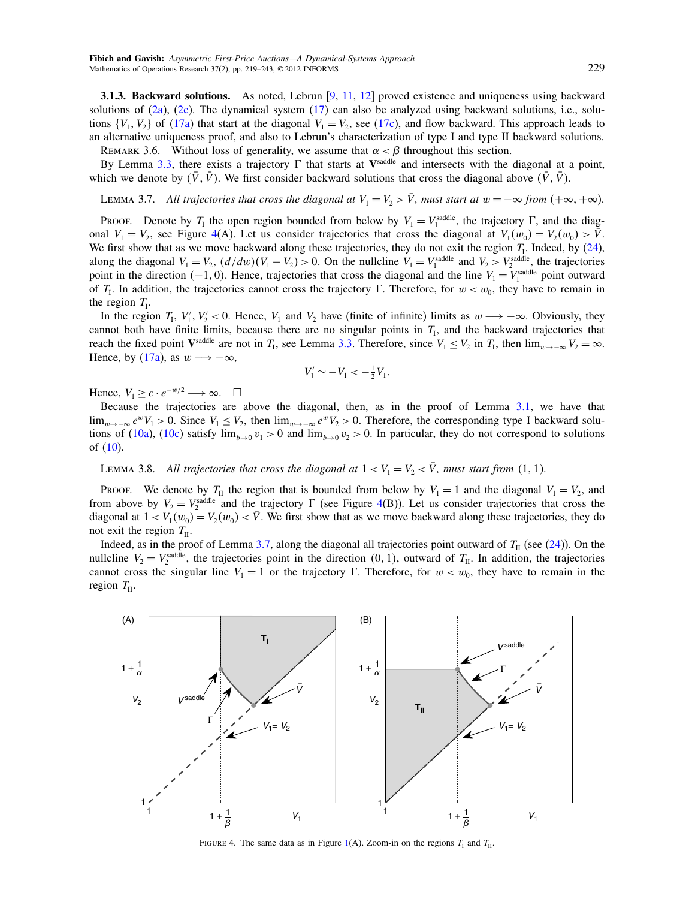<span id="page-10-0"></span>3.1.3. Backward solutions. As noted, Lebrun [\[9,](#page-24-4) [11,](#page-24-5) [12\]](#page-24-6) proved existence and uniqueness using backward solutions of  $(2a)$ ,  $(2c)$ . The dynamical system  $(17)$  can also be analyzed using backward solutions, i.e., solutions  $\{V_1, V_2\}$  of  $(17a)$  that start at the diagonal  $V_1 = V_2$ , see  $(17c)$ , and flow backward. This approach leads to an alternative uniqueness proof, and also to Lebrun's characterization of type I and type II backward solutions.

REMARK 3.6. Without loss of generality, we assume that  $\alpha < \beta$  throughout this section.

By Lemma [3.3,](#page-6-2) there exists a trajectory  $\Gamma$  that starts at V<sup>saddle</sup> and intersects with the diagonal at a point, which we denote by  $(\bar{V}, \bar{V})$ . We first consider backward solutions that cross the diagonal above  $(\bar{V}, \bar{V})$ .

<span id="page-10-2"></span>LEMMA 3.7. All trajectories that cross the diagonal at  $V_1 = V_2 > \overline{V}$ , must start at  $w = -\infty$  from  $(+\infty, +\infty)$ .

Proof. Denote by  $T_1$  the open region bounded from below by  $V_1 = V_1^{\text{saddle}}$ , the trajectory  $\Gamma$ , and the diagonal  $V_1 = V_2$ , see Figure [4\(](#page-10-1)A). Let us consider trajectories that cross the diagonal at  $V_1(w_0) = V_2(w_0) > \bar{V}$ . We first show that as we move backward along these trajectories, they do not exit the region  $T_1$ . Indeed, by  $(24)$ , along the diagonal  $V_1 = V_2$ ,  $(d/dw)(V_1 - V_2) > 0$ . On the nullcline  $V_1 = V_1^{\text{saddle}}$  and  $V_2 > V_2^{\text{saddle}}$ , the trajectories point in the direction  $(-1, 0)$ . Hence, trajectories that cross the diagonal and the line  $V_1 = V_1^{\text{saddle}}$  point outward of  $T_1$ . In addition, the trajectories cannot cross the trajectory  $\Gamma$ . Therefore, for  $w < w_0$ , they have to remain in the region  $T_{\rm I}$ .

In the region  $T_1$ ,  $V_1'$ ,  $V_2' < 0$ . Hence,  $V_1$  and  $V_2$  have (finite of infinite) limits as  $w \rightarrow -\infty$ . Obviously, they cannot both have finite limits, because there are no singular points in  $T<sub>l</sub>$ , and the backward trajectories that reach the fixed point V<sup>saddle</sup> are not in  $T_1$ , see Lemma [3.3.](#page-6-2) Therefore, since  $V_1 \le V_2$  in  $T_1$ , then  $\lim_{w \to -\infty} V_2 = \infty$ . Hence, by [\(17a\)](#page-4-4), as  $w \rightarrow -\infty$ ,

$$
V_1' \sim -V_1 < -\frac{1}{2}V_1.
$$

Hence,  $V_1 \geq c \cdot e^{-w/2} \longrightarrow \infty$ .  $\Box$ 

Because the trajectories are above the diagonal, then, as in the proof of Lemma [3.1,](#page-5-4) we have that lim<sub>w→−∞</sub>  $e^wV_1 > 0$ . Since  $V_1 \le V_2$ , then lim<sub>w→−∞</sub>  $e^wV_2 > 0$ . Therefore, the corresponding type I backward solu-tions of [\(10a\)](#page-3-7), [\(10c\)](#page-3-8) satisfy  $\lim_{b\to 0} v_1 > 0$  and  $\lim_{b\to 0} v_2 > 0$ . In particular, they do not correspond to solutions of [\(10\)](#page-3-3).

LEMMA 3.8. All trajectories that cross the diagonal at  $1 < V_1 = V_2 < \overline{V}$ , must start from (1, 1).

Proof. We denote by  $T_{II}$  the region that is bounded from below by  $V_1 = 1$  and the diagonal  $V_1 = V_2$ , and from above by  $V_2 = V_2^{\text{saddle}}$  and the trajectory  $\Gamma$  (see Figure [4\(](#page-10-1)B)). Let us consider trajectories that cross the diagonal at  $1 < V_1(w_0) = V_2(w_0) < \bar{V}$ . We first show that as we move backward along these trajectories, they do not exit the region  $T_{II}$ .

Indeed, as in the proof of Lemma [3.7,](#page-10-2) along the diagonal all trajectories point outward of  $T_{II}$  (see [\(24\)](#page-5-6)). On the nullcline  $V_2 = V_2^{\text{saddle}}$ , the trajectories point in the direction  $(0, 1)$ , outward of  $T_{II}$ . In addition, the trajectories cannot cross the singular line  $V_1 = 1$  or the trajectory  $\Gamma$ . Therefore, for  $w < w_0$ , they have to remain in the region  $T_{II}$ .



<span id="page-10-1"></span>FIGURE 4. The same data as in Figure [1\(](#page-7-0)A). Zoom-in on the regions  $T_1$  and  $T_{II}$ .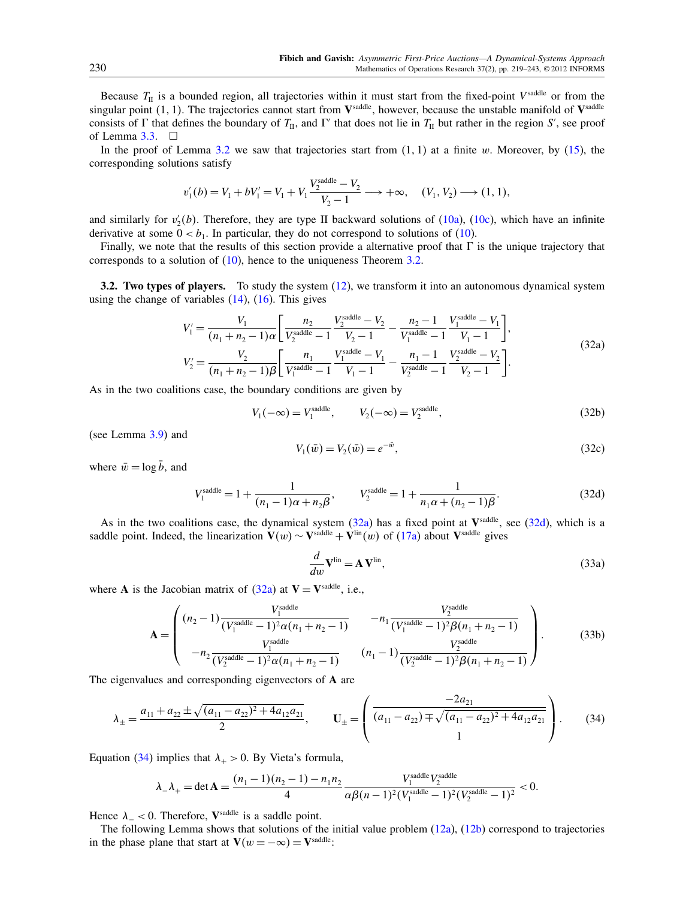Because  $T_{II}$  is a bounded region, all trajectories within it must start from the fixed-point V<sup>saddle</sup> or from the singular point  $(1, 1)$ . The trajectories cannot start from  $V^{\text{saddle}}$ , however, because the unstable manifold of  $V^{\text{saddle}}$ consists of  $\Gamma$  that defines the boundary of  $T_{II}$ , and  $\Gamma'$  that does not lie in  $T_{II}$  but rather in the region S', see proof of Lemma  $3.3.$   $\Box$ 

In the proof of Lemma [3.2](#page-5-0) we saw that trajectories start from  $(1, 1)$  at a finite w. Moreover, by  $(15)$ , the corresponding solutions satisfy

$$
v_1'(b) = V_1 + bV_1' = V_1 + V_1 \frac{V_2^{\text{saddle}} - V_2}{V_2 - 1} \longrightarrow +\infty, \quad (V_1, V_2) \longrightarrow (1, 1),
$$

and similarly for  $v_2'(b)$ . Therefore, they are type II backward solutions of [\(10a\)](#page-3-7), [\(10c\)](#page-3-8), which have an infinite derivative at some  $0 < b_1$ . In particular, they do not correspond to solutions of [\(10\)](#page-3-3).

Finally, we note that the results of this section provide a alternative proof that  $\Gamma$  is the unique trajectory that corresponds to a solution of [\(10\)](#page-3-3), hence to the uniqueness Theorem [3.2.](#page-9-5)

<span id="page-11-0"></span>3.2. Two types of players. To study the system [\(12\)](#page-3-5), we transform it into an autonomous dynamical system using the change of variables  $(14)$ ,  $(16)$ . This gives

<span id="page-11-2"></span>
$$
V'_{1} = \frac{V_{1}}{(n_{1} + n_{2} - 1)\alpha} \left[ \frac{n_{2}}{V_{2}^{\text{saddle}} - 1} \frac{V_{2}^{\text{saddle}} - V_{2}}{V_{2} - 1} - \frac{n_{2} - 1}{V_{1}^{\text{saddle}} - 1} \frac{V_{1}^{\text{saddle}} - V_{1}}{V_{1} - 1} \right],
$$
  
\n
$$
V'_{2} = \frac{V_{2}}{(n_{1} + n_{2} - 1)\beta} \left[ \frac{n_{1}}{V_{1}^{\text{saddle}} - 1} \frac{V_{1}^{\text{saddle}} - V_{1}}{V_{1} - 1} - \frac{n_{1} - 1}{V_{2}^{\text{saddle}} - 1} \frac{V_{2}^{\text{saddle}} - V_{2}}{V_{2} - 1} \right].
$$
\n(32a)

As in the two coalitions case, the boundary conditions are given by

<span id="page-11-6"></span><span id="page-11-5"></span>
$$
V_1(-\infty) = V_1^{\text{saddle}}, \qquad V_2(-\infty) = V_2^{\text{saddle}}, \tag{32b}
$$

(see Lemma [3.9\)](#page-11-1) and

$$
V_1(\bar{w}) = V_2(\bar{w}) = e^{-\bar{w}},\tag{32c}
$$

where  $\bar{w} = \log \bar{b}$ , and

<span id="page-11-3"></span>
$$
V_1^{\text{saddle}} = 1 + \frac{1}{(n_1 - 1)\alpha + n_2 \beta}, \qquad V_2^{\text{saddle}} = 1 + \frac{1}{n_1 \alpha + (n_2 - 1)\beta}.
$$
 (32d)

As in the two coalitions case, the dynamical system  $(32a)$  has a fixed point at V<sup>saddle</sup>, see  $(32d)$ , which is a saddle point. Indeed, the linearization  $V(w) \sim V^{\text{saddle}} + V^{\text{lin}}(w)$  of [\(17a\)](#page-4-4) about  $V^{\text{saddle}}$  gives

$$
\frac{d}{dw}\mathbf{V}^{\text{lin}} = \mathbf{A}\,\mathbf{V}^{\text{lin}},\tag{33a}
$$

where **A** is the Jacobian matrix of [\(32a\)](#page-11-2) at  $V = V^{\text{saddle}}$ , i.e.,

$$
\mathbf{A} = \begin{pmatrix} (n_2 - 1) \frac{V_1^{\text{saddle}}}{(V_1^{\text{saddle}} - 1)^2 \alpha (n_1 + n_2 - 1)} & -n_1 \frac{V_2^{\text{saddle}}}{(V_1^{\text{saddle}} - 1)^2 \beta (n_1 + n_2 - 1)} \\ -n_2 \frac{V_1^{\text{saddle}}}{(V_2^{\text{saddle}} - 1)^2 \alpha (n_1 + n_2 - 1)} & (n_1 - 1) \frac{V_2^{\text{saddle}}}{(V_2^{\text{saddle}} - 1)^2 \beta (n_1 + n_2 - 1)} \end{pmatrix} .
$$
 (33b)

The eigenvalues and corresponding eigenvectors of A are

<span id="page-11-4"></span>
$$
\lambda_{\pm} = \frac{a_{11} + a_{22} \pm \sqrt{(a_{11} - a_{22})^2 + 4a_{12}a_{21}}}{2}, \qquad \mathbf{U}_{\pm} = \left(\frac{-2a_{21}}{(a_{11} - a_{22}) \mp \sqrt{(a_{11} - a_{22})^2 + 4a_{12}a_{21}}}\right). \tag{34}
$$

Equation [\(34\)](#page-11-4) implies that  $\lambda_+ > 0$ . By Vieta's formula,

$$
\lambda_{-} \lambda_{+} = \det \mathbf{A} = \frac{(n_1 - 1)(n_2 - 1) - n_1 n_2}{4} \frac{V_1^{\text{saddle}} V_2^{\text{saddle}}}{\alpha \beta (n - 1)^2 (V_1^{\text{saddle}} - 1)^2 (V_2^{\text{saddle}} - 1)^2} < 0.
$$

Hence  $\lambda_{-} < 0$ . Therefore, V<sup>saddle</sup> is a saddle point.

<span id="page-11-1"></span>The following Lemma shows that solutions of the initial value problem [\(12a\)](#page-3-11), [\(12b\)](#page-3-12) correspond to trajectories in the phase plane that start at  $\mathbf{V}(w = -\infty) = \mathbf{V}^{\text{saddle}}$ :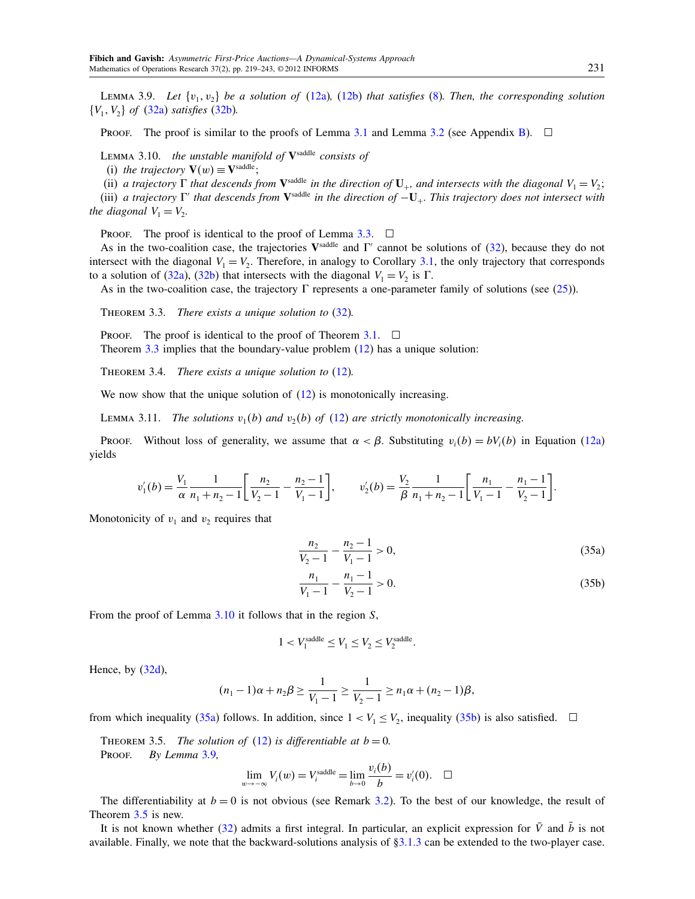LEMMA 3.9. Let  $\{v_1, v_2\}$  be a solution of [\(12a\)](#page-3-11), [\(12b\)](#page-3-12) that satisfies [\(8\)](#page-3-10). Then, the corresponding solution  $\{V_1, V_2\}$  of  $(32a)$  satisfies  $(32b)$ .

PROOF. The proof is similar to the proofs of Lemma [3.1](#page-5-4) and Lemma [3.2](#page-5-0) (see Appendix [B\)](#page-21-1).  $\Box$ 

<span id="page-12-1"></span>LEMMA 3.10. the unstable manifold of  $V^{\text{saddle}}$  consists of

(i) the trajectory  $\mathbf{V}(w) \equiv \mathbf{V}^{\text{saddle}}$ ;

(ii) a trajectory  $\Gamma$  that descends from  $V^{\text{saddle}}$  in the direction of  $U_+$ , and intersects with the diagonal  $V_1 = V_2$ ;

(iii) a trajectory  $\Gamma'$  that descends from  $V^{\text{saddle}}$  in the direction of  $-U_+$ . This trajectory does not intersect with the diagonal  $V_1 = V_2$ .

PROOF. The proof is identical to the proof of Lemma [3.3.](#page-6-2)  $\Box$ 

As in the two-coalition case, the trajectories  $V^{\text{saddle}}$  and  $\Gamma'$  cannot be solutions of [\(32\)](#page-11-6), because they do not intersect with the diagonal  $V_1 = V_2$ . Therefore, in analogy to Corollary [3.1,](#page-6-3) the only trajectory that corresponds to a solution of [\(32a\)](#page-11-2), [\(32b\)](#page-11-5) that intersects with the diagonal  $V_1 = V_2$  is  $\Gamma$ .

<span id="page-12-0"></span>As in the two-coalition case, the trajectory  $\Gamma$  represents a one-parameter family of solutions (see [\(25\)](#page-6-1)).

THEOREM 3.3. There exists a unique solution to  $(32)$ .

**PROOF.** The proof is identical to the proof of Theorem [3.1.](#page-7-3)  $\Box$ 

Theorem [3.3](#page-12-0) implies that the boundary-value problem [\(12\)](#page-3-5) has a unique solution:

THEOREM 3.4. There exists a unique solution to [\(12\)](#page-3-5).

We now show that the unique solution of  $(12)$  is monotonically increasing.

LEMMA 3.11. The solutions  $v_1(b)$  and  $v_2(b)$  of [\(12\)](#page-3-5) are strictly monotonically increasing.

Proof. Without loss of generality, we assume that  $\alpha < \beta$ . Substituting  $v_i(b) = bV_i(b)$  in Equation [\(12a\)](#page-3-11) yields

$$
v_1'(b) = \frac{V_1}{\alpha} \frac{1}{n_1 + n_2 - 1} \left[ \frac{n_2}{V_2 - 1} - \frac{n_2 - 1}{V_1 - 1} \right], \qquad v_2'(b) = \frac{V_2}{\beta} \frac{1}{n_1 + n_2 - 1} \left[ \frac{n_1}{V_1 - 1} - \frac{n_1 - 1}{V_2 - 1} \right].
$$

Monotonicity of  $v_1$  and  $v_2$  requires that

<span id="page-12-2"></span>
$$
\frac{n_2}{V_2 - 1} - \frac{n_2 - 1}{V_1 - 1} > 0,
$$
\n
$$
(35a)
$$

<span id="page-12-3"></span>
$$
\frac{n_1}{V_1 - 1} - \frac{n_1 - 1}{V_2 - 1} > 0.
$$
\n(35b)

From the proof of Lemma [3.10](#page-12-1) it follows that in the region S,

$$
1 < V_1^{\text{saddle}} \le V_1 \le V_2 \le V_2^{\text{saddle}}.
$$

Hence, by [\(32d\)](#page-11-3),

$$
(n_1-1)\alpha + n_2\beta \ge \frac{1}{V_1-1} \ge \frac{1}{V_2-1} \ge n_1\alpha + (n_2-1)\beta,
$$

<span id="page-12-4"></span>from which inequality [\(35a\)](#page-12-2) follows. In addition, since  $1 < V_1 \le V_2$ , inequality [\(35b\)](#page-12-3) is also satisfied.  $\Box$ 

THEOREM 3.5. The solution of  $(12)$  is differentiable at  $b = 0$ . PROOF. By Lemma [3.9,](#page-11-1)

$$
\lim_{w \to -\infty} V_i(w) = V_i^{\text{saddle}} = \lim_{b \to 0} \frac{v_i(b)}{b} = v'_i(0). \quad \Box
$$

The differentiability at  $b = 0$  is not obvious (see Remark [3.2\)](#page-9-6). To the best of our knowledge, the result of Theorem [3.5](#page-12-4) is new.

It is not known whether  $(32)$  admits a first integral. In particular, an explicit expression for V and b is not available. Finally, we note that the backward-solutions analysis of  $\S3.1.3$  can be extended to the two-player case.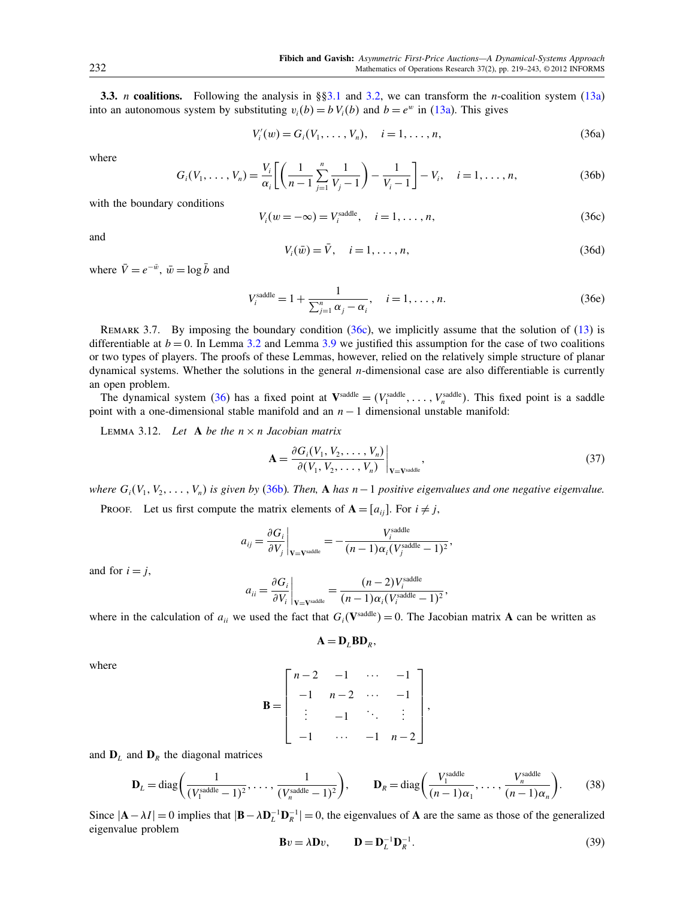<span id="page-13-0"></span>**3.3.** *n* coalitions. Following the analysis in §[§3.1](#page-4-2) and [3.2,](#page-11-0) we can transform the *n*-coalition system [\(13a\)](#page-4-11) into an autonomous system by substituting  $v_i(b) = b V_i(b)$  and  $b = e^w$  in [\(13a\)](#page-4-11). This gives

<span id="page-13-5"></span><span id="page-13-2"></span>
$$
V'_{i}(w) = G_{i}(V_{1}, \ldots, V_{n}), \quad i = 1, \ldots, n,
$$
\n(36a)

where

<span id="page-13-3"></span>
$$
G_i(V_1, \ldots, V_n) = \frac{V_i}{\alpha_i} \left[ \left( \frac{1}{n-1} \sum_{j=1}^n \frac{1}{V_j - 1} \right) - \frac{1}{V_i - 1} \right] - V_i, \quad i = 1, \ldots, n,
$$
 (36b)

with the boundary conditions

<span id="page-13-1"></span>
$$
V_i(w = -\infty) = V_i^{\text{saddle}}, \quad i = 1, \dots, n,
$$
\n(36c)

and

<span id="page-13-7"></span>
$$
V_i(\bar{w}) = \bar{V}, \quad i = 1, \dots, n,
$$
\n(36d)

where  $\bar{V} = e^{-\bar{w}}, \bar{w} = \log \bar{b}$  and

<span id="page-13-8"></span>
$$
V_i^{\text{saddle}} = 1 + \frac{1}{\sum_{j=1}^n \alpha_j - \alpha_i}, \quad i = 1, ..., n. \tag{36e}
$$

REMARK 3.7. By imposing the boundary condition [\(36c\)](#page-13-1), we implicitly assume that the solution of [\(13\)](#page-4-3) is differentiable at  $b = 0$ . In Lemma [3.2](#page-5-0) and Lemma [3.9](#page-11-1) we justified this assumption for the case of two coalitions or two types of players. The proofs of these Lemmas, however, relied on the relatively simple structure of planar dynamical systems. Whether the solutions in the general n-dimensional case are also differentiable is currently an open problem.

The dynamical system [\(36\)](#page-13-2) has a fixed point at  $V^{\text{saddle}} = (V_1^{\text{saddle}}, \dots, V_n^{\text{saddle}})$ . This fixed point is a saddle point with a one-dimensional stable manifold and an  $n - 1$  dimensional unstable manifold:

<span id="page-13-6"></span>LEMMA 3.12. Let A be the  $n \times n$  Jacobian matrix

<span id="page-13-10"></span>
$$
\mathbf{A} = \frac{\partial G_i(V_1, V_2, \dots, V_n)}{\partial (V_1, V_2, \dots, V_n)} \bigg|_{\mathbf{V} = \mathbf{V}^{\text{saddle}}},
$$
\n(37)

where  $G_i(V_1, V_2, \ldots, V_n)$  is given by [\(36b\)](#page-13-3). Then, A has n – 1 positive eigenvalues and one negative eigenvalue.

PROOF. Let us first compute the matrix elements of  $A = [a_{ij}]$ . For  $i \neq j$ ,

$$
a_{ij} = \frac{\partial G_i}{\partial V_j}\bigg|_{\mathbf{V} = \mathbf{V}^{\text{saddle}}} = -\frac{V_i^{\text{saddle}}}{(n-1)\alpha_i (V_j^{\text{saddle}} - 1)^2},
$$

and for  $i = j$ ,

$$
a_{ii} = \frac{\partial G_i}{\partial V_i}\Big|_{\mathbf{V} = \mathbf{V}^{\text{saddle}}} = \frac{(n-2)V_i^{\text{saddle}}}{(n-1)\alpha_i (V_i^{\text{saddle}} - 1)^2},
$$

where in the calculation of  $a_{ii}$  we used the fact that  $G_i(\mathbf{V}^{\text{saddle}}) = 0$ . The Jacobian matrix **A** can be written as

$$
\mathbf{A} = \mathbf{D}_L \mathbf{B} \mathbf{D}_R,
$$

where

$$
\mathbf{B} = \begin{bmatrix} n-2 & -1 & \cdots & -1 \\ -1 & n-2 & \cdots & -1 \\ \vdots & -1 & \ddots & \vdots \\ -1 & \cdots & -1 & n-2 \end{bmatrix},
$$

and  $D<sub>L</sub>$  and  $D<sub>R</sub>$  the diagonal matrices

<span id="page-13-9"></span>
$$
\mathbf{D}_L = \text{diag}\left(\frac{1}{(V_1^{\text{saddle}}-1)^2}, \dots, \frac{1}{(V_n^{\text{saddle}}-1)^2}\right), \qquad \mathbf{D}_R = \text{diag}\left(\frac{V_1^{\text{saddle}}}{(n-1)\alpha_1}, \dots, \frac{V_n^{\text{saddle}}}{(n-1)\alpha_n}\right). \tag{38}
$$

Since  $|A - \lambda I| = 0$  implies that  $|B - \lambda D_L^{-1} D_R^{-1}| = 0$ , the eigenvalues of A are the same as those of the generalized eigenvalue problem

<span id="page-13-4"></span>
$$
\mathbf{B}v = \lambda \mathbf{D}v, \qquad \mathbf{D} = \mathbf{D}_L^{-1} \mathbf{D}_R^{-1}.
$$
 (39)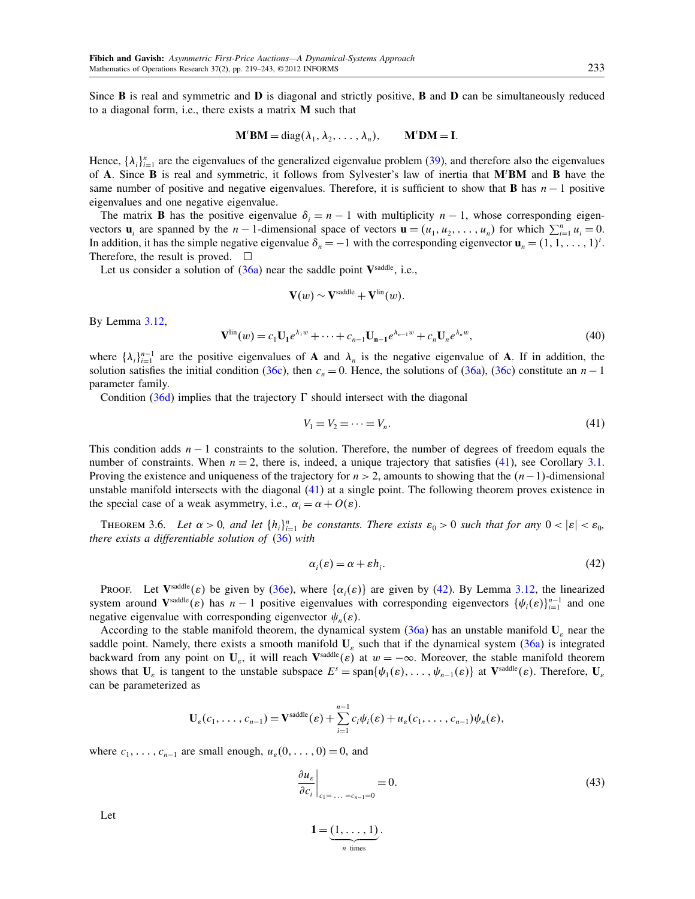Since B is real and symmetric and D is diagonal and strictly positive, B and D can be simultaneously reduced to a diagonal form, i.e., there exists a matrix M such that

$$
\mathbf{M}^{\prime} \mathbf{B} \mathbf{M} = \mathrm{diag}(\lambda_1, \lambda_2, \ldots, \lambda_n), \qquad \mathbf{M}^{\prime} \mathbf{D} \mathbf{M} = \mathbf{I}.
$$

Hence,  $\{\lambda_i\}_{i=1}^n$  are the eigenvalues of the generalized eigenvalue problem [\(39\)](#page-13-4), and therefore also the eigenvalues of A. Since B is real and symmetric, it follows from Sylvester's law of inertia that M'BM and B have the same number of positive and negative eigenvalues. Therefore, it is sufficient to show that **B** has  $n - 1$  positive eigenvalues and one negative eigenvalue.

The matrix **B** has the positive eigenvalue  $\delta_i = n - 1$  with multiplicity  $n - 1$ , whose corresponding eigenvectors  $\mathbf{u}_i$  are spanned by the  $n-1$ -dimensional space of vectors  $\mathbf{u} = (u_1, u_2, \dots, u_n)$  for which  $\sum_{i=1}^n u_i = 0$ . In addition, it has the simple negative eigenvalue  $\delta_n = -1$  with the corresponding eigenvector  $\mathbf{u}_n = (1, 1, \dots, 1)^t$ . Therefore, the result is proved.  $\Box$ 

Let us consider a solution of  $(36a)$  near the saddle point Vsaddle, i.e.,

$$
\mathbf{V}(w) \sim \mathbf{V}^{\text{saddle}} + \mathbf{V}^{\text{lin}}(w).
$$

By Lemma [3.12,](#page-13-6)

$$
\mathbf{V}^{\text{lin}}(w) = c_1 \mathbf{U}_1 e^{\lambda_1 w} + \dots + c_{n-1} \mathbf{U}_{n-1} e^{\lambda_{n-1} w} + c_n \mathbf{U}_n e^{\lambda_n w},\tag{40}
$$

where  $\{\lambda_i\}_{i=1}^{n-1}$  are the positive eigenvalues of **A** and  $\lambda_n$  is the negative eigenvalue of **A**. If in addition, the solution satisfies the initial condition [\(36c\)](#page-13-1), then  $c_n = 0$ . Hence, the solutions of [\(36a\)](#page-13-5), (36c) constitute an  $n-1$ parameter family.

Condition [\(36d\)](#page-13-7) implies that the trajectory  $\Gamma$  should intersect with the diagonal

<span id="page-14-0"></span>
$$
V_1 = V_2 = \dots = V_n. \tag{41}
$$

This condition adds  $n - 1$  constraints to the solution. Therefore, the number of degrees of freedom equals the number of constraints. When  $n = 2$ , there is, indeed, a unique trajectory that satisfies [\(41\)](#page-14-0), see Corollary [3.1.](#page-6-3) Proving the existence and uniqueness of the trajectory for  $n > 2$ , amounts to showing that the  $(n-1)$ -dimensional unstable manifold intersects with the diagonal [\(41\)](#page-14-0) at a single point. The following theorem proves existence in the special case of a weak asymmetry, i.e.,  $\alpha_i = \alpha + O(\varepsilon)$ .

<span id="page-14-3"></span>THEOREM 3.6. Let  $\alpha > 0$ , and let  $\{h_i\}_{i=1}^n$  be constants. There exists  $\varepsilon_0 > 0$  such that for any  $0 < |\varepsilon| < \varepsilon_0$ , there exists a differentiable solution of  $(36)$  with

<span id="page-14-1"></span>
$$
\alpha_i(\varepsilon) = \alpha + \varepsilon h_i. \tag{42}
$$

Proof. Let  $V^{\text{saddle}}(\varepsilon)$  be given by [\(36e\)](#page-13-8), where  $\{\alpha_i(\varepsilon)\}\$ are given by [\(42\)](#page-14-1). By Lemma [3.12,](#page-13-6) the linearized system around  $V^{\text{saddle}}(\varepsilon)$  has  $n-1$  positive eigenvalues with corresponding eigenvectors  $\{\psi_i(\varepsilon)\}_{i=1}^{n-1}$  and one negative eigenvalue with corresponding eigenvector  $\psi_n(\varepsilon)$ .

According to the stable manifold theorem, the dynamical system [\(36a\)](#page-13-5) has an unstable manifold  $U_{\varepsilon}$  near the saddle point. Namely, there exists a smooth manifold  $U_{\varepsilon}$  such that if the dynamical system [\(36a\)](#page-13-5) is integrated backward from any point on  $U_{\varepsilon}$ , it will reach  $V^{\text{saddle}}(\varepsilon)$  at  $w = -\infty$ . Moreover, the stable manifold theorem shows that  $U_{\varepsilon}$  is tangent to the unstable subspace  $E^s = \text{span}\{\psi_1(\varepsilon), \dots, \psi_{n-1}(\varepsilon)\}\$ at  $V^{\text{saddle}}(\varepsilon)$ . Therefore,  $U_{\varepsilon}$ can be parameterized as

$$
\mathbf{U}_{\varepsilon}(c_1,\ldots,c_{n-1})=\mathbf{V}^{\text{saddle}}(\varepsilon)+\sum_{i=1}^{n-1}c_i\psi_i(\varepsilon)+u_{\varepsilon}(c_1,\ldots,c_{n-1})\psi_n(\varepsilon),
$$

where  $c_1, \ldots, c_{n-1}$  are small enough,  $u_\varepsilon(0, \ldots, 0) = 0$ , and

<span id="page-14-2"></span>
$$
\left. \frac{\partial u_{\varepsilon}}{\partial c_i} \right|_{c_1 = \dots = c_{n-1} = 0} = 0. \tag{43}
$$

Let

$$
\mathbf{1} = \underbrace{(1,\ldots,1)}_{n \text{ times}}.
$$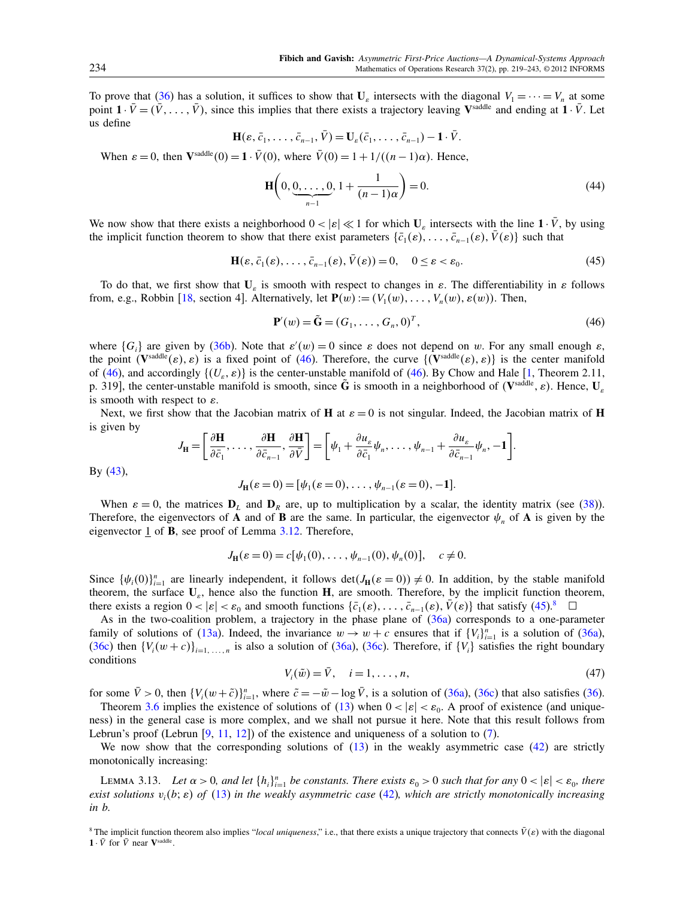To prove that [\(36\)](#page-13-2) has a solution, it suffices to show that  $U_{\varepsilon}$  intersects with the diagonal  $V_1 = \cdots = V_n$  at some point  $1 \cdot \bar{V} = (\bar{V}, \dots, \bar{V})$ , since this implies that there exists a trajectory leaving V<sup>saddle</sup> and ending at  $1 \cdot \bar{V}$ . Let us define

$$
\mathbf{H}(\varepsilon,\bar{c}_1,\ldots,\bar{c}_{n-1},\bar{V})=\mathbf{U}_{\varepsilon}(\bar{c}_1,\ldots,\bar{c}_{n-1})-\mathbf{1}\cdot\bar{V}.
$$

When  $\varepsilon = 0$ , then  $\mathbf{V}^{\text{saddle}}(0) = 1 \cdot \bar{V}(0)$ , where  $\bar{V}(0) = 1 + 1/((n-1)\alpha)$ . Hence,

$$
\mathbf{H}\left(0, \underbrace{0, \dots, 0}_{n-1}, 1 + \frac{1}{(n-1)\alpha}\right) = 0. \tag{44}
$$

We now show that there exists a neighborhood  $0 < |\varepsilon| \ll 1$  for which  $U_{\varepsilon}$  intersects with the line  $1 \cdot \bar{V}$ , by using the implicit function theorem to show that there exist parameters  $\{\bar{c}_1(\varepsilon), \ldots, \bar{c}_{n-1}(\varepsilon), \bar{V}(\varepsilon)\}\)$  such that

<span id="page-15-1"></span>
$$
\mathbf{H}(\varepsilon, \bar{c}_1(\varepsilon), \dots, \bar{c}_{n-1}(\varepsilon), \bar{V}(\varepsilon)) = 0, \quad 0 \le \varepsilon < \varepsilon_0.
$$
\n(45)

To do that, we first show that  $U_{\varepsilon}$  is smooth with respect to changes in  $\varepsilon$ . The differentiability in  $\varepsilon$  follows from, e.g., Robbin [\[18,](#page-24-13) section 4]. Alternatively, let  $P(w) := (V_1(w), \ldots, V_n(w), \varepsilon(w))$ . Then,

<span id="page-15-0"></span>
$$
\mathbf{P}'(w) = \tilde{\mathbf{G}} = (G_1, \dots, G_n, 0)^T, \tag{46}
$$

where  $\{G_i\}$  are given by [\(36b\)](#page-13-3). Note that  $\varepsilon'(w) = 0$  since  $\varepsilon$  does not depend on w. For any small enough  $\varepsilon$ , the point  $(V^{\text{saddle}}(\varepsilon), \varepsilon)$  is a fixed point of [\(46\)](#page-15-0). Therefore, the curve  $\{(V^{\text{saddle}}(\varepsilon), \varepsilon)\}\)$  is the center manifold of [\(46\)](#page-15-0), and accordingly  $\{(U_{\varepsilon}, \varepsilon)\}\)$  is the center-unstable manifold of (46). By Chow and Hale [\[1,](#page-23-1) Theorem 2.11, p. 319], the center-unstable manifold is smooth, since  $\tilde{G}$  is smooth in a neighborhood of (V<sup>saddle</sup>,  $\varepsilon$ ). Hence,  $U_{\varepsilon}$ is smooth with respect to  $\varepsilon$ .

Next, we first show that the Jacobian matrix of **H** at  $\varepsilon = 0$  is not singular. Indeed, the Jacobian matrix of **H** is given by

$$
J_{\mathbf{H}} = \left[\frac{\partial \mathbf{H}}{\partial \bar{c}_1}, \ldots, \frac{\partial \mathbf{H}}{\partial \bar{c}_{n-1}}, \frac{\partial \mathbf{H}}{\partial \bar{V}}\right] = \left[\psi_1 + \frac{\partial u_{\varepsilon}}{\partial \bar{c}_1}\psi_n, \ldots, \psi_{n-1} + \frac{\partial u_{\varepsilon}}{\partial \bar{c}_{n-1}}\psi_n, -1\right].
$$

By [\(43\)](#page-14-2),

$$
J_{\mathbf{H}}(\varepsilon = 0) = [\psi_1(\varepsilon = 0), \dots, \psi_{n-1}(\varepsilon = 0), -1].
$$

When  $\varepsilon = 0$ , the matrices  $D_L$  and  $D_R$  are, up to multiplication by a scalar, the identity matrix (see [\(38\)](#page-13-9)). Therefore, the eigenvectors of **A** and of **B** are the same. In particular, the eigenvector  $\psi_n$  of **A** is given by the eigenvector 1 of B, see proof of Lemma [3.12.](#page-13-6) Therefore,

$$
J_{\mathbf{H}}(\varepsilon = 0) = c[\psi_1(0), \dots, \psi_{n-1}(0), \psi_n(0)], \quad c \neq 0.
$$

Since  $\{\psi_i(0)\}_{i=1}^n$  are linearly independent, it follows  $\det(J_H(\varepsilon = 0)) \neq 0$ . In addition, by the stable manifold theorem, the surface  $U_{\varepsilon}$ , hence also the function H, are smooth. Therefore, by the implicit function theorem, there exists a region  $0 < |\varepsilon| < \varepsilon_0$  and smooth functions  $\{\bar{c}_1(\varepsilon), \ldots, \bar{c}_{n-1}(\varepsilon), \bar{V}(\varepsilon)\}\)$  that satisfy  $(45)^8$  $(45)^8$  $(45)^8$ 

As in the two-coalition problem, a trajectory in the phase plane of [\(36a\)](#page-13-5) corresponds to a one-parameter family of solutions of [\(13a\)](#page-4-11). Indeed, the invariance  $w \to w + c$  ensures that if  $\{V_i\}_{i=1}^n$  is a solution of [\(36a\)](#page-13-5), [\(36c\)](#page-13-1) then  $\{V_i(w+c)\}_{i=1,\ldots,n}$  is also a solution of [\(36a\)](#page-13-5), (36c). Therefore, if  $\{V_i\}$  satisfies the right boundary conditions

$$
V_i(\tilde{w}) = \bar{V}, \quad i = 1, \dots, n,
$$
\n
$$
(47)
$$

for some  $\bar{V} > 0$ , then  $\{V_i(w + \tilde{c})\}_{i=1}^n$ , where  $\tilde{c} = -\tilde{w} - \log \bar{V}$ , is a solution of [\(36a\)](#page-13-5), [\(36c\)](#page-13-1) that also satisfies [\(36\)](#page-13-2).

Theorem [3.6](#page-14-3) implies the existence of solutions of [\(13\)](#page-4-3) when  $0 < |\varepsilon| < \varepsilon_0$ . A proof of existence (and uniqueness) in the general case is more complex, and we shall not pursue it here. Note that this result follows from Lebrun's proof (Lebrun [\[9,](#page-24-4) [11,](#page-24-5) [12\]](#page-24-6)) of the existence and uniqueness of a solution to  $(7)$ .

We now show that the corresponding solutions of  $(13)$  in the weakly asymmetric case  $(42)$  are strictly monotonically increasing:

LEMMA 3.13. Let  $\alpha > 0$ , and let  $\{h_i\}_{i=1}^n$  be constants. There exists  $\varepsilon_0 > 0$  such that for any  $0 < |\varepsilon| < \varepsilon_0$ , there exist solutions  $v_i(b; \varepsilon)$  of [\(13\)](#page-4-3) in the weakly asymmetric case [\(42\)](#page-14-1), which are strictly monotonically increasing in b.

<span id="page-15-2"></span><sup>&</sup>lt;sup>8</sup> The implicit function theorem also implies "local uniqueness," i.e., that there exists a unique trajectory that connects  $V(\varepsilon)$  with the diagonal  $1 \cdot \bar{V}$  for  $\bar{V}$  near  $V^{\text{saddle}}$ .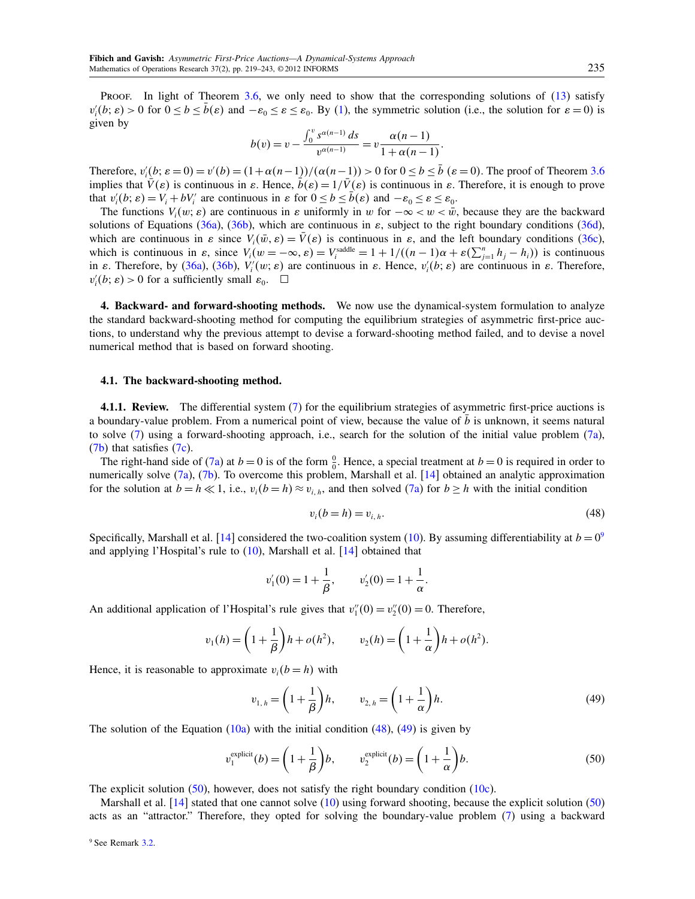Proof. In light of Theorem [3.6,](#page-14-3) we only need to show that the corresponding solutions of [\(13\)](#page-4-3) satisfy  $v_i'(b; \varepsilon) > 0$  for  $0 \le b \le \bar{b}(\varepsilon)$  and  $-\varepsilon_0 \le \varepsilon \le \varepsilon_0$ . By [\(1\)](#page-0-5), the symmetric solution (i.e., the solution for  $\varepsilon = 0$ ) is given by

$$
b(v) = v - \frac{\int_0^v s^{\alpha(n-1)} ds}{v^{\alpha(n-1)}} = v \frac{\alpha(n-1)}{1 + \alpha(n-1)}.
$$

Therefore,  $v_i'(b; \varepsilon = 0) = v'(b) = (1 + \alpha(n-1))/( \alpha(n-1)) > 0$  for  $0 \le b \le \bar{b}$  ( $\varepsilon = 0$ ). The proof of Theorem [3.6](#page-14-3) implies that  $\bar{V}(\varepsilon)$  is continuous in  $\varepsilon$ . Hence,  $\bar{b}(\varepsilon) = 1/\bar{V}(\varepsilon)$  is continuous in  $\varepsilon$ . Therefore, it is enough to prove that  $v_i'(b; \varepsilon) = V_i + bV_i'$  are continuous in  $\varepsilon$  for  $0 \le b \le \overline{b}(\varepsilon)$  and  $-\varepsilon_0 \le \varepsilon \le \varepsilon_0$ .

The functions  $V_i(w; \varepsilon)$  are continuous in  $\varepsilon$  uniformly in w for  $-\infty < w < \bar{w}$ , because they are the backward solutions of Equations [\(36a\)](#page-13-5), [\(36b\)](#page-13-3), which are continuous in  $\varepsilon$ , subject to the right boundary conditions [\(36d\)](#page-13-7), which are continuous in  $\varepsilon$  since  $V_i(\bar{w}, \varepsilon) = \bar{V}(\varepsilon)$  is continuous in  $\varepsilon$ , and the left boundary conditions [\(36c\)](#page-13-1), which is continuous in  $\varepsilon$ , since  $V_i(w = -\infty, \varepsilon) = V_i^{\text{saddle}} = 1 + 1/((n-1)\alpha + \varepsilon(\sum_{j=1}^n h_j - h_i))$  is continuous in  $\varepsilon$ . Therefore, by [\(36a\)](#page-13-5), [\(36b\)](#page-13-3),  $V_i(w; \varepsilon)$  are continuous in  $\varepsilon$ . Hence,  $v_i'(b; \varepsilon)$  are continuous in  $\varepsilon$ . Therefore,  $v_i'(b; \varepsilon) > 0$  for a sufficiently small  $\varepsilon_0$ .  $\Box$ 

<span id="page-16-0"></span>4. Backward- and forward-shooting methods. We now use the dynamical-system formulation to analyze the standard backward-shooting method for computing the equilibrium strategies of asymmetric first-price auctions, to understand why the previous attempt to devise a forward-shooting method failed, and to devise a novel numerical method that is based on forward shooting.

## <span id="page-16-1"></span>4.1. The backward-shooting method.

<span id="page-16-6"></span>4.1.1. Review. The differential system [\(7\)](#page-2-0) for the equilibrium strategies of asymmetric first-price auctions is a boundary-value problem. From a numerical point of view, because the value of  $b$  is unknown, it seems natural to solve [\(7\)](#page-2-0) using a forward-shooting approach, i.e., search for the solution of the initial value problem [\(7a\)](#page-2-3), [\(7b\)](#page-3-13) that satisfies [\(7c\)](#page-3-14).

The right-hand side of [\(7a\)](#page-2-3) at  $b = 0$  is of the form  $\frac{0}{0}$ . Hence, a special treatment at  $b = 0$  is required in order to numerically solve [\(7a\)](#page-2-3), [\(7b\)](#page-3-13). To overcome this problem, Marshall et al. [\[14\]](#page-24-7) obtained an analytic approximation for the solution at  $b = h \ll 1$ , i.e.,  $v_i (b = h) \approx v_{i,h}$ , and then solved  $(7a)$  for  $b \ge h$  with the initial condition

<span id="page-16-3"></span>
$$
v_i(b = h) = v_{i,h}.\tag{48}
$$

Specifically, Marshall et al. [\[14\]](#page-24-7) considered the two-coalition system [\(10\)](#page-3-3). By assuming differentiability at  $b = 0^9$  $b = 0^9$ and applying l'Hospital's rule to  $(10)$ , Marshall et al.  $[14]$  obtained that

$$
v'_1(0) = 1 + \frac{1}{\beta}, \qquad v'_2(0) = 1 + \frac{1}{\alpha}.
$$

An additional application of l'Hospital's rule gives that  $v''_1(0) = v''_2(0) = 0$ . Therefore,

$$
v_1(h) = \left(1 + \frac{1}{\beta}\right)h + o(h^2), \qquad v_2(h) = \left(1 + \frac{1}{\alpha}\right)h + o(h^2).
$$

Hence, it is reasonable to approximate  $v_i(b = h)$  with

<span id="page-16-4"></span>
$$
v_{1,h} = \left(1 + \frac{1}{\beta}\right)h, \qquad v_{2,h} = \left(1 + \frac{1}{\alpha}\right)h. \tag{49}
$$

The solution of the Equation  $(10a)$  with the initial condition  $(48)$ ,  $(49)$  is given by

<span id="page-16-5"></span>
$$
v_1^{\text{explicit}}(b) = \left(1 + \frac{1}{\beta}\right)b, \qquad v_2^{\text{explicit}}(b) = \left(1 + \frac{1}{\alpha}\right)b. \tag{50}
$$

The explicit solution  $(50)$ , however, does not satisfy the right boundary condition  $(10c)$ .

<span id="page-16-2"></span>Marshall et al.  $[14]$  stated that one cannot solve  $(10)$  using forward shooting, because the explicit solution [\(50\)](#page-16-5) acts as an "attractor." Therefore, they opted for solving the boundary-value problem [\(7\)](#page-2-0) using a backward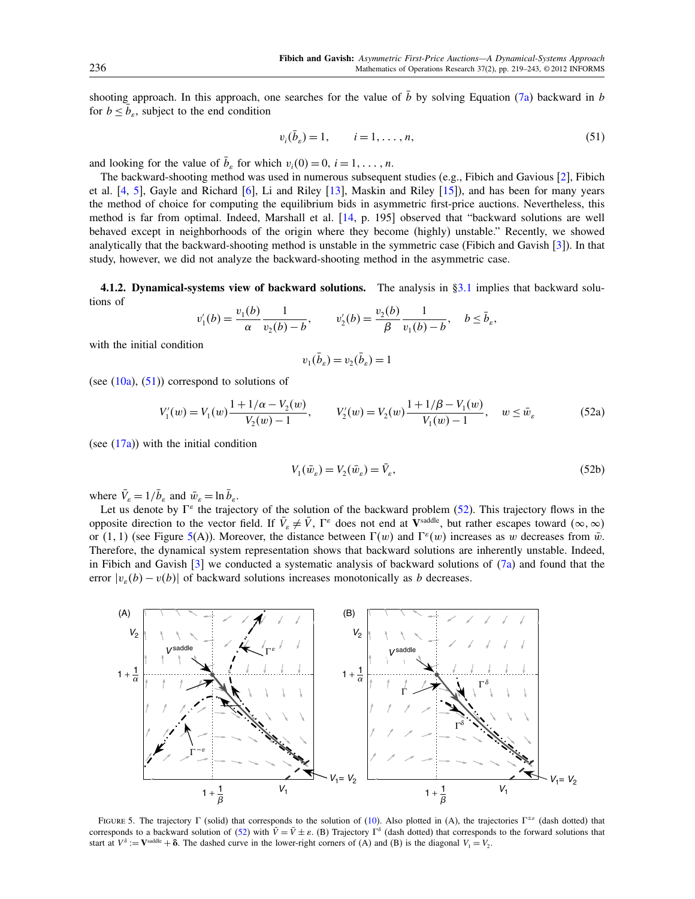shooting approach. In this approach, one searches for the value of  $\bar{b}$  by solving Equation [\(7a\)](#page-2-3) backward in b for  $b \leq \overline{b}_e$ , subject to the end condition

<span id="page-17-0"></span>
$$
v_i(\bar{b}_s) = 1, \qquad i = 1, \dots, n,
$$
\n(51)

and looking for the value of  $\bar{b}_\varepsilon$  for which  $v_i(0) = 0, i = 1, \dots, n$ .

The backward-shooting method was used in numerous subsequent studies (e.g., Fibich and Gavious [\[2\]](#page-23-2), Fibich et al. [\[4,](#page-23-3) [5\]](#page-23-4), Gayle and Richard [\[6\]](#page-23-5), Li and Riley [\[13\]](#page-24-14), Maskin and Riley [\[15\]](#page-24-11)), and has been for many years the method of choice for computing the equilibrium bids in asymmetric first-price auctions. Nevertheless, this method is far from optimal. Indeed, Marshall et al. [\[14,](#page-24-7) p. 195] observed that "backward solutions are well behaved except in neighborhoods of the origin where they become (highly) unstable." Recently, we showed analytically that the backward-shooting method is unstable in the symmetric case (Fibich and Gavish [\[3\]](#page-23-0)). In that study, however, we did not analyze the backward-shooting method in the asymmetric case.

4.1.2. Dynamical-systems view of backward solutions. The analysis in [§3.1](#page-4-2) implies that backward solutions of

$$
v_1'(b) = \frac{v_1(b)}{\alpha} \frac{1}{v_2(b) - b}, \qquad v_2'(b) = \frac{v_2(b)}{\beta} \frac{1}{v_1(b) - b}, \quad b \le \bar{b}_{\varepsilon},
$$

with the initial condition

<span id="page-17-1"></span>
$$
v_1(\bar{b}_\varepsilon) = v_2(\bar{b}_\varepsilon) = 1
$$

(see  $(10a)$ ,  $(51)$ ) correspond to solutions of

$$
V_1'(w) = V_1(w) \frac{1 + 1/\alpha - V_2(w)}{V_2(w) - 1}, \qquad V_2'(w) = V_2(w) \frac{1 + 1/\beta - V_1(w)}{V_1(w) - 1}, \quad w \le \bar{w}_{\varepsilon}
$$
(52a)

(see [\(17a\)](#page-4-4)) with the initial condition

$$
V_1(\bar{w}_\varepsilon) = V_2(\bar{w}_\varepsilon) = \bar{V}_\varepsilon,\tag{52b}
$$

where  $\bar{V}_\varepsilon = 1/\bar{b}_\varepsilon$  and  $\bar{w}_\varepsilon = \ln \bar{b}_\varepsilon$ .

Let us denote by  $\Gamma^{\varepsilon}$  the trajectory of the solution of the backward problem [\(52\)](#page-17-1). This trajectory flows in the opposite direction to the vector field. If  $\bar{V}_\varepsilon \neq \bar{V}$ ,  $\Gamma^\varepsilon$  does not end at  $V^{\text{saddle}}$ , but rather escapes toward  $(\infty, \infty)$ or (1, 1) (see Figure [5\(](#page-17-2)A)). Moreover, the distance between  $\Gamma(w)$  and  $\Gamma^{\epsilon}(w)$  increases as w decreases from  $\bar{w}$ . Therefore, the dynamical system representation shows that backward solutions are inherently unstable. Indeed, in Fibich and Gavish  $\lceil 3 \rceil$  we conducted a systematic analysis of backward solutions of  $\lceil 7a \rceil$  and found that the error  $|v_{\varepsilon}(b) - v(b)|$  of backward solutions increases monotonically as b decreases.



<span id="page-17-2"></span>FIGURE 5. The trajectory  $\Gamma$  (solid) that corresponds to the solution of [\(10\)](#page-3-3). Also plotted in (A), the trajectories  $\Gamma^{\pm \varepsilon}$  (dash dotted) that corresponds to a backward solution of [\(52\)](#page-17-1) with  $\bar{V} = \bar{V} \pm \varepsilon$ . (B) Trajectory  $\Gamma^{\delta}$  (dash dotted) that corresponds to the forward solutions that start at  $V^{\delta}$  :=  $\mathbf{V}^{\text{saddle}} + \delta$ . The dashed curve in the lower-right corners of (A) and (B) is the diagonal  $V_1 = V_2$ .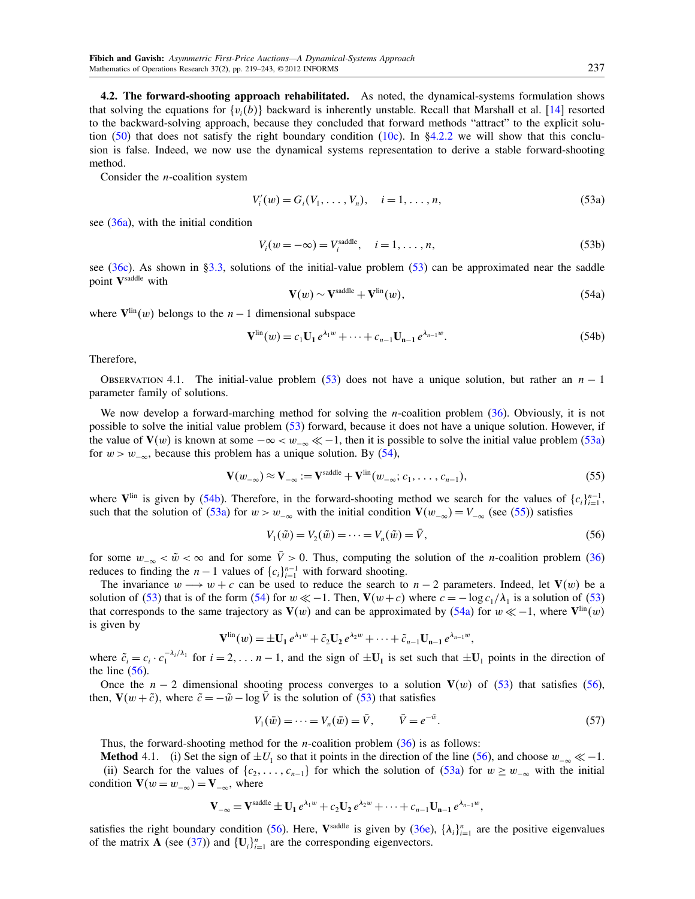<span id="page-18-0"></span>4.2. The forward-shooting approach rehabilitated. As noted, the dynamical-systems formulation shows that solving the equations for  $\{v_i(b)\}$  backward is inherently unstable. Recall that Marshall et al. [\[14\]](#page-24-7) resorted to the backward-solving approach, because they concluded that forward methods "attract" to the explicit solu-tion [\(50\)](#page-16-5) that does not satisfy the right boundary condition [\(10c\)](#page-3-8). In [§4.2.2](#page-20-0) we will show that this conclusion is false. Indeed, we now use the dynamical systems representation to derive a stable forward-shooting method.

Consider the n-coalition system

<span id="page-18-2"></span><span id="page-18-1"></span>
$$
V'_{i}(w) = G_{i}(V_{1}, \ldots, V_{n}), \quad i = 1, \ldots, n,
$$
\n(53a)

see [\(36a\)](#page-13-5), with the initial condition

$$
V_i(w = -\infty) = V_i^{\text{saddle}}, \quad i = 1, \dots, n,
$$
\n
$$
(53b)
$$

<span id="page-18-3"></span>see [\(36c\)](#page-13-1). As shown in [§3.3,](#page-13-0) solutions of the initial-value problem [\(53\)](#page-18-1) can be approximated near the saddle point Vsaddle with

<span id="page-18-6"></span>
$$
\mathbf{V}(w) \sim \mathbf{V}^{\text{saddle}} + \mathbf{V}^{\text{lin}}(w),\tag{54a}
$$

where  $V^{\text{lin}}(w)$  belongs to the  $n-1$  dimensional subspace

<span id="page-18-4"></span>
$$
\mathbf{V}^{\text{lin}}(w) = c_1 \mathbf{U}_1 e^{\lambda_1 w} + \dots + c_{n-1} \mathbf{U}_{n-1} e^{\lambda_{n-1} w}.
$$
 (54b)

Therefore,

OBSERVATION 4.1. The initial-value problem [\(53\)](#page-18-1) does not have a unique solution, but rather an  $n - 1$ parameter family of solutions.

We now develop a forward-marching method for solving the *n*-coalition problem [\(36\)](#page-13-2). Obviously, it is not possible to solve the initial value problem [\(53\)](#page-18-1) forward, because it does not have a unique solution. However, if the value of  $V(w)$  is known at some  $-\infty < w_{-\infty} \ll -1$ , then it is possible to solve the initial value problem [\(53a\)](#page-18-2) for  $w > w_{-\infty}$ , because this problem has a unique solution. By [\(54\)](#page-18-3),

<span id="page-18-5"></span>
$$
\mathbf{V}(w_{-\infty}) \approx \mathbf{V}_{-\infty} := \mathbf{V}^{\text{saddle}} + \mathbf{V}^{\text{lin}}(w_{-\infty}; c_1, \dots, c_{n-1}),
$$
\n
$$
(55)
$$

where  $V^{\text{lin}}$  is given by [\(54b\)](#page-18-4). Therefore, in the forward-shooting method we search for the values of  $\{c_i\}_{i=1}^{n-1}$ , such that the solution of [\(53a\)](#page-18-2) for  $w > w_{-\infty}$  with the initial condition  $V(w_{-\infty}) = V_{-\infty}$  (see [\(55\)](#page-18-5)) satisfies

<span id="page-18-7"></span>
$$
V_1(\tilde{w}) = V_2(\tilde{w}) = \dots = V_n(\tilde{w}) = \bar{V},
$$
\n(56)

for some  $w_{-\infty} < \tilde{w} < \infty$  and for some  $\bar{V} > 0$ . Thus, computing the solution of the *n*-coalition problem [\(36\)](#page-13-2) reduces to finding the  $n-1$  values of  $\{c_i\}_{i=1}^{n-1}$  with forward shooting.

The invariance  $w \rightarrow w + c$  can be used to reduce the search to  $n - 2$  parameters. Indeed, let  $V(w)$  be a solution of [\(53\)](#page-18-1) that is of the form [\(54\)](#page-18-3) for  $w \ll -1$ . Then,  $V(w+c)$  where  $c = -\log c_1/\lambda_1$  is a solution of (53) that corresponds to the same trajectory as  $V(w)$  and can be approximated by [\(54a\)](#page-18-6) for  $w \ll -1$ , where  $V^{\text{lin}}(w)$ is given by

$$
\mathbf{V}^{\text{lin}}(w) = \pm \mathbf{U}_1 e^{\lambda_1 w} + \tilde{c}_2 \mathbf{U}_2 e^{\lambda_2 w} + \cdots + \tilde{c}_{n-1} \mathbf{U}_{n-1} e^{\lambda_{n-1} w},
$$

where  $\tilde{c}_i = c_i \cdot c_1^{-\lambda_i/\lambda_1}$  for  $i = 2, \ldots n-1$ , and the sign of  $\pm \mathbf{U}_1$  is set such that  $\pm \mathbf{U}_1$  points in the direction of the line  $(56)$ .

Once the  $n-2$  dimensional shooting process converges to a solution  $V(w)$  of [\(53\)](#page-18-1) that satisfies [\(56\)](#page-18-7), then,  $V(w + \tilde{c})$ , where  $\tilde{c} = -\tilde{w} - \log \bar{V}$  is the solution of [\(53\)](#page-18-1) that satisfies

<span id="page-18-8"></span>
$$
V_1(\bar{w}) = \dots = V_n(\bar{w}) = \bar{V}, \qquad \bar{V} = e^{-\bar{w}}.
$$
\n(57)

Thus, the forward-shooting method for the *n*-coalition problem  $(36)$  is as follows:

**Method** 4.1. (i) Set the sign of  $\pm U_1$  so that it points in the direction of the line [\(56\)](#page-18-7), and choose  $w_{-\infty} \ll -1$ . (ii) Search for the values of  $\{c_2, \ldots, c_{n-1}\}$  for which the solution of  $(53a)$  for  $w \geq w_{-\infty}$  with the initial condition  $\mathbf{V}(w = w_{-\infty}) = \mathbf{V}_{-\infty}$ , where

$$
\mathbf{V}_{-\infty} = \mathbf{V}^{\text{saddle}} \pm \mathbf{U}_1 e^{\lambda_1 w} + c_2 \mathbf{U}_2 e^{\lambda_2 w} + \cdots + c_{n-1} \mathbf{U}_{n-1} e^{\lambda_{n-1} w},
$$

satisfies the right boundary condition [\(56\)](#page-18-7). Here, V<sup>saddle</sup> is given by [\(36e\)](#page-13-8),  $\{\lambda_i\}_{i=1}^n$  are the positive eigenvalues of the matrix **A** (see [\(37\)](#page-13-10)) and  $\{U_i\}_{i=1}^n$  are the corresponding eigenvectors.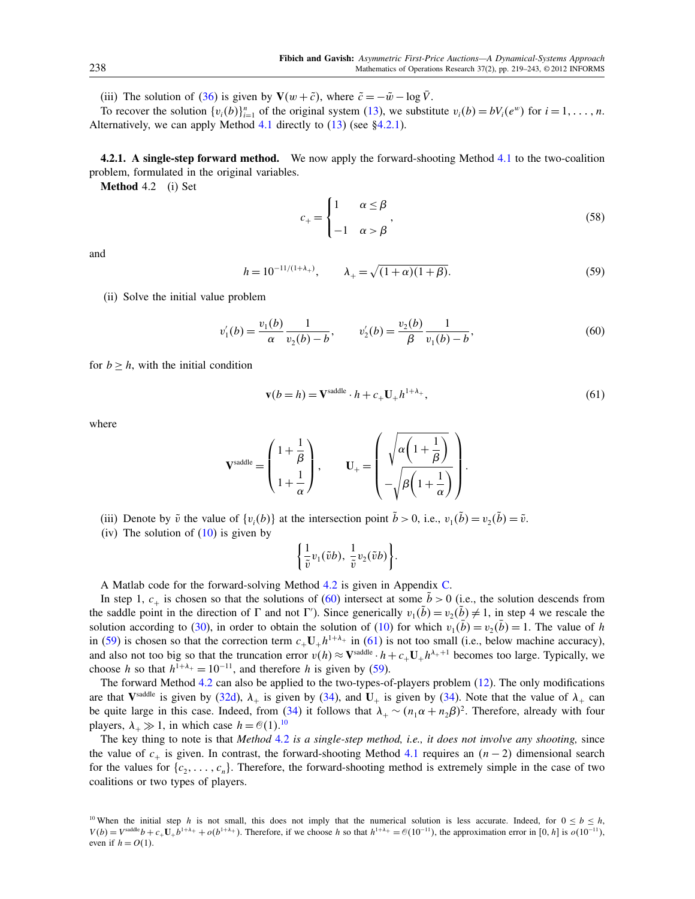(iii) The solution of [\(36\)](#page-13-2) is given by  $V(w + \tilde{c})$ , where  $\tilde{c} = -\tilde{w} - \log \tilde{V}$ .

To recover the solution  $\{v_i(b)\}_{i=1}^n$  of the original system [\(13\)](#page-4-3), we substitute  $v_i(b) = bV_i(e^w)$  for  $i = 1, \ldots, n$ . Alternatively, we can apply Method [4.1](#page-18-8) directly to  $(13)$  (see [§4.2.1\)](#page-19-0).

<span id="page-19-0"></span>**4.2.1.** A single-step forward method. We now apply the forward-shooting Method [4.1](#page-18-8) to the two-coalition problem, formulated in the original variables.

Method 4.2 (i) Set

<span id="page-19-1"></span>
$$
c_{+} = \begin{cases} 1 & \alpha \le \beta \\ -1 & \alpha > \beta \end{cases},
$$
 (58)

and

<span id="page-19-3"></span>
$$
h = 10^{-11/(1+\lambda_{+})}, \qquad \lambda_{+} = \sqrt{(1+\alpha)(1+\beta)}.
$$
 (59)

(ii) Solve the initial value problem

<span id="page-19-2"></span>
$$
v_1'(b) = \frac{v_1(b)}{\alpha} \frac{1}{v_2(b) - b}, \qquad v_2'(b) = \frac{v_2(b)}{\beta} \frac{1}{v_1(b) - b},
$$
\n(60)

for  $b > h$ , with the initial condition

<span id="page-19-4"></span>
$$
\mathbf{v}(b=h) = \mathbf{V}^{\text{saddle}} \cdot h + c_+ \mathbf{U}_+ h^{1+\lambda_+},\tag{61}
$$

where

$$
\mathbf{V}^{\text{saddle}} = \begin{pmatrix} 1 + \frac{1}{\beta} \\ 1 + \frac{1}{\alpha} \end{pmatrix}, \qquad \mathbf{U}_{+} = \begin{pmatrix} \sqrt{\alpha \left( 1 + \frac{1}{\beta} \right)} \\ -\sqrt{\beta \left( 1 + \frac{1}{\alpha} \right)} \end{pmatrix}.
$$

- (iii) Denote by  $\tilde{v}$  the value of  $\{v_i(b)\}\$ at the intersection point  $\tilde{b} > 0$ , i.e.,  $v_1(\tilde{b}) = v_2(\tilde{b}) = \tilde{v}$ .
- (iv) The solution of  $(10)$  is given by

$$
\left\{\frac{1}{\tilde{v}}v_1(\tilde{v}b),\,\frac{1}{\tilde{v}}v_2(\tilde{v}b)\right\}.
$$

A Matlab code for the forward-solving Method [4.2](#page-19-1) is given in Appendix [C.](#page-23-6)

In step 1,  $c_{+}$  is chosen so that the solutions of [\(60\)](#page-19-2) intersect at some  $b > 0$  (i.e., the solution descends from the saddle point in the direction of  $\Gamma$  and not  $\Gamma'$ ). Since generically  $v_1(\tilde{b}) = v_2(\tilde{b}) \neq 1$ , in step 4 we rescale the solution according to [\(30\)](#page-9-1), in order to obtain the solution of [\(10\)](#page-3-3) for which  $v_1(\bar{b}) = v_2(\bar{b}) = 1$ . The value of h in [\(59\)](#page-19-3) is chosen so that the correction term  $c_+U_+h^{1+\lambda_+}$  in [\(61\)](#page-19-4) is not too small (i.e., below machine accuracy), and also not too big so that the truncation error  $v(h) \approx V^{\text{saddle}} \cdot h + c_+ \mathbf{U}_+ h^{\lambda_+ + 1}$  becomes too large. Typically, we choose h so that  $h^{1+\lambda_+} = 10^{-11}$ , and therefore h is given by [\(59\)](#page-19-3).

The forward Method [4.2](#page-19-1) can also be applied to the two-types-of-players problem [\(12\)](#page-3-5). The only modifications are that V<sup>saddle</sup> is given by [\(32d\)](#page-11-3),  $\lambda_+$  is given by [\(34\)](#page-11-4), and U<sub>+</sub> is given by (34). Note that the value of  $\lambda_+$  can be quite large in this case. Indeed, from [\(34\)](#page-11-4) it follows that  $\lambda_+ \sim (n_1 \alpha + n_2 \beta)^2$ . Therefore, already with four players,  $\lambda_+ \gg 1$ , in which case  $h = \mathcal{O}(1).^{10}$  $h = \mathcal{O}(1).^{10}$  $h = \mathcal{O}(1).^{10}$ 

The key thing to note is that Method [4.2](#page-19-1) is a single-step method, i.e., it does not involve any shooting, since the value of  $c_{+}$  is given. In contrast, the forward-shooting Method [4.1](#page-18-8) requires an  $(n-2)$  dimensional search for the values for  $\{c_2, \ldots, c_n\}$ . Therefore, the forward-shooting method is extremely simple in the case of two coalitions or two types of players.

<span id="page-19-5"></span><sup>&</sup>lt;sup>10</sup> When the initial step h is not small, this does not imply that the numerical solution is less accurate. Indeed, for  $0 \le b \le h$ ,  $V(b) = V^{\text{saddle}}b + c_+ \mathbf{U}_+ b^{1+\lambda_+} + o(b^{1+\lambda_+})$ . Therefore, if we choose h so that  $h^{1+\lambda_+} = \mathcal{O}(10^{-11})$ , the approximation error in [0, h] is  $o(10^{-11})$ , even if  $h = O(1)$ .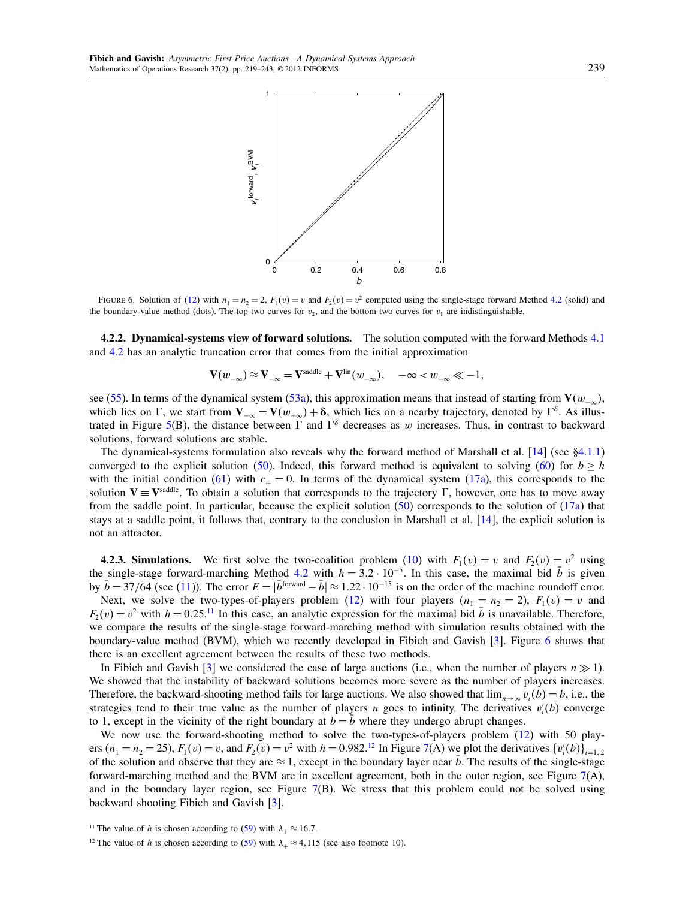

<span id="page-20-2"></span>FIGURE 6. Solution of [\(12\)](#page-3-5) with  $n_1 = n_2 = 2$ ,  $F_1(v) = v$  and  $F_2(v) = v^2$  computed using the single-stage forward Method [4.2](#page-19-1) (solid) and the boundary-value method (dots). The top two curves for  $v_2$ , and the bottom two curves for  $v_1$  are indistinguishable.

<span id="page-20-0"></span>4.2.2. Dynamical-systems view of forward solutions. The solution computed with the forward Methods [4.1](#page-18-8) and [4.2](#page-19-1) has an analytic truncation error that comes from the initial approximation

$$
\mathbf{V}(w_{-\infty}) \approx \mathbf{V}_{-\infty} = \mathbf{V}^{\text{saddle}} + \mathbf{V}^{\text{lin}}(w_{-\infty}), \quad -\infty < w_{-\infty} \ll -1,
$$

see [\(55\)](#page-18-5). In terms of the dynamical system [\(53a\)](#page-18-2), this approximation means that instead of starting from  $V(w_{-\infty})$ , which lies on  $\Gamma$ , we start from  $V_{-\infty} = V(w_{-\infty}) + \delta$ , which lies on a nearby trajectory, denoted by  $\Gamma^{\delta}$ . As illus-trated in Figure [5\(](#page-17-2)B), the distance between  $\Gamma$  and  $\Gamma^{\delta}$  decreases as w increases. Thus, in contrast to backward solutions, forward solutions are stable.

The dynamical-systems formulation also reveals why the forward method of Marshall et al. [\[14\]](#page-24-7) (see [§4.1.1\)](#page-16-6) converged to the explicit solution [\(50\)](#page-16-5). Indeed, this forward method is equivalent to solving [\(60\)](#page-19-2) for  $b \geq h$ with the initial condition [\(61\)](#page-19-4) with  $c_+ = 0$ . In terms of the dynamical system [\(17a\)](#page-4-4), this corresponds to the solution  $V = V^{\text{saddle}}$ . To obtain a solution that corresponds to the trajectory  $\Gamma$ , however, one has to move away from the saddle point. In particular, because the explicit solution  $(50)$  corresponds to the solution of  $(17a)$  that stays at a saddle point, it follows that, contrary to the conclusion in Marshall et al. [\[14\]](#page-24-7), the explicit solution is not an attractor.

**4.2.3. Simulations.** We first solve the two-coalition problem [\(10\)](#page-3-3) with  $F_1(v) = v$  and  $F_2(v) = v^2$  using the single-stage forward-marching Method [4.2](#page-19-1) with  $h = 3.2 \cdot 10^{-5}$ . In this case, the maximal bid  $\bar{b}$  is given by  $\bar{b} = 37/64$  (see [\(11\)](#page-3-6)). The error  $E = |\bar{b}^{\text{forward}} - \bar{b}| \approx 1.22 \cdot 10^{-15}$  is on the order of the machine roundoff error. Next, we solve the two-types-of-players problem [\(12\)](#page-3-5) with four players  $(n_1 = n_2 = 2)$ ,  $F_1(v) = v$  and  $F_2(v) = v^2$  with  $h = 0.25$ .<sup>[11](#page-20-1)</sup> In this case, an analytic expression for the maximal bid  $\bar{b}$  is unavailable. Therefore, we compare the results of the single-stage forward-marching method with simulation results obtained with the boundary-value method (BVM), which we recently developed in Fibich and Gavish [\[3\]](#page-23-0). Figure [6](#page-20-2) shows that there is an excellent agreement between the results of these two methods.

In Fibich and Gavish [\[3\]](#page-23-0) we considered the case of large auctions (i.e., when the number of players  $n \gg 1$ ). We showed that the instability of backward solutions becomes more severe as the number of players increases. Therefore, the backward-shooting method fails for large auctions. We also showed that  $\lim_{n\to\infty} v_i(b) = b$ , i.e., the strategies tend to their true value as the number of players *n* goes to infinity. The derivatives  $v_i'(b)$  converge to 1, except in the vicinity of the right boundary at  $b = b$  where they undergo abrupt changes.

We now use the forward-shooting method to solve the two-types-of-players problem [\(12\)](#page-3-5) with 50 players  $(n_1 = n_2 = 25)$ ,  $F_1(v) = v$ , and  $F_2(v) = v^2$  with  $h = 0.982$ .<sup>[12](#page-20-3)</sup> In Figure [7\(](#page-21-2)A) we plot the derivatives  $\{v_i'(b)\}_{i=1,2}$ of the solution and observe that they are  $\approx 1$ , except in the boundary layer near  $\bar{b}$ . The results of the single-stage forward-marching method and the BVM are in excellent agreement, both in the outer region, see Figure  $7(A)$  $7(A)$ , and in the boundary layer region, see Figure  $7(B)$  $7(B)$ . We stress that this problem could not be solved using backward shooting Fibich and Gavish [\[3\]](#page-23-0).

<span id="page-20-1"></span><sup>&</sup>lt;sup>11</sup> The value of h is chosen according to [\(59\)](#page-19-3) with  $\lambda_+ \approx 16.7$ .

<span id="page-20-3"></span><sup>&</sup>lt;sup>12</sup> The value of h is chosen according to [\(59\)](#page-19-3) with  $\lambda_+ \approx 4,115$  (see also footnote 10).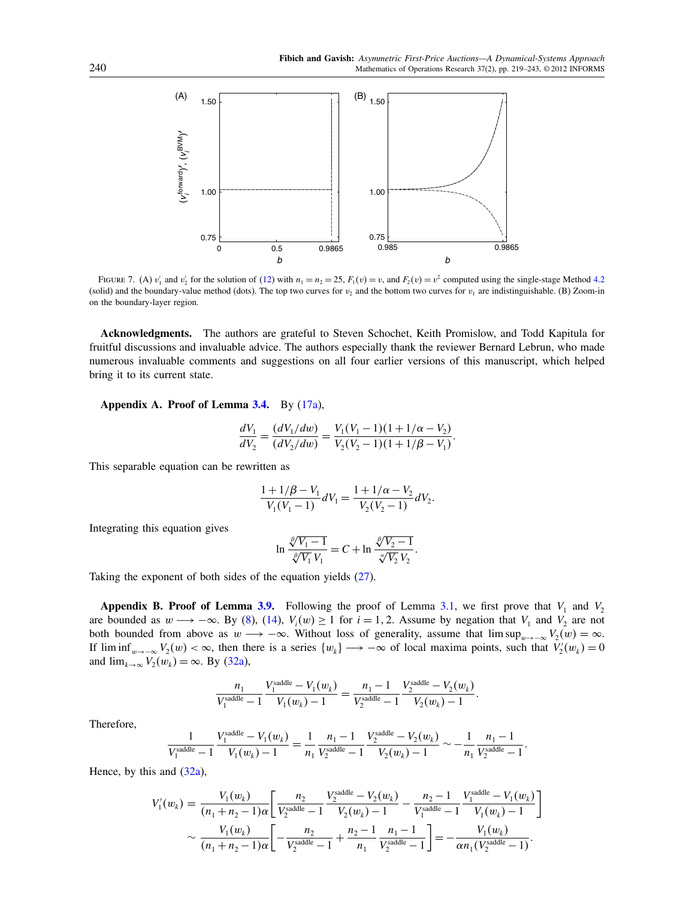.



<span id="page-21-2"></span>FIGURE 7. (A)  $v'_1$  and  $v'_2$  for the solution of [\(12\)](#page-3-5) with  $n_1 = n_2 = 25$ ,  $F_1(v) = v$ , and  $F_2(v) = v^2$  computed using the single-stage Method [4.2](#page-19-1) (solid) and the boundary-value method (dots). The top two curves for  $v_2$  and the bottom two curves for  $v_1$  are indistinguishable. (B) Zoom-in on the boundary-layer region.

Acknowledgments. The authors are grateful to Steven Schochet, Keith Promislow, and Todd Kapitula for fruitful discussions and invaluable advice. The authors especially thank the reviewer Bernard Lebrun, who made numerous invaluable comments and suggestions on all four earlier versions of this manuscript, which helped bring it to its current state.

<span id="page-21-0"></span>Appendix A. Proof of Lemma [3.4.](#page-8-4) By [\(17a\)](#page-4-4),

$$
\frac{dV_1}{dV_2} = \frac{(dV_1/dw)}{(dV_2/dw)} = \frac{V_1(V_1 - 1)(1 + 1/\alpha - V_2)}{V_2(V_2 - 1)(1 + 1/\beta - V_1)}
$$

This separable equation can be rewritten as

$$
\frac{1+1/\beta-V_1}{V_1(V_1-1)}dV_1 = \frac{1+1/\alpha-V_2}{V_2(V_2-1)}dV_2.
$$

Integrating this equation gives

$$
\ln \frac{\sqrt[\ell]{V_1 - 1}}{\sqrt[\ell]{V_1} V_1} = C + \ln \frac{\sqrt[\ell]{V_2 - 1}}{\sqrt[\ell]{V_2} V_2}.
$$

Taking the exponent of both sides of the equation yields [\(27\)](#page-8-3).

<span id="page-21-1"></span>**Appendix B. Proof of Lemma [3.9.](#page-11-1)** Following the proof of Lemma [3.1,](#page-5-4) we first prove that  $V_1$  and  $V_2$ are bounded as  $w \rightarrow -\infty$ . By [\(8\)](#page-3-10), [\(14\)](#page-4-5),  $V_i(w) \ge 1$  for  $i = 1, 2$ . Assume by negation that  $V_1$  and  $V_2$  are not both bounded from above as  $w \to -\infty$ . Without loss of generality, assume that  $\limsup_{w\to -\infty} V_2(w) = \infty$ . If  $\liminf_{w\to-\infty} V_2(w) < \infty$ , then there is a series  $\{w_k\} \to -\infty$  of local maxima points, such that  $V_2'(w_k) = 0$ and  $\lim_{k\to\infty} V_2(w_k) = \infty$ . By [\(32a\)](#page-11-2),

$$
\frac{n_1}{V_1^{\text{saddle}} - 1} \frac{V_1^{\text{saddle}} - V_1(w_k)}{V_1(w_k) - 1} = \frac{n_1 - 1}{V_2^{\text{saddle}} - 1} \frac{V_2^{\text{saddle}} - V_2(w_k)}{V_2(w_k) - 1}.
$$

Therefore,

$$
\frac{1}{V_1^{\text{saddle}}-1}\frac{V_1^{\text{saddle}}-V_1(w_k)}{V_1(w_k)-1}=\frac{1}{n_1}\frac{n_1-1}{V_2^{\text{saddle}}-1}\frac{V_2^{\text{saddle}}-V_2(w_k)}{V_2(w_k)-1}\sim-\frac{1}{n_1}\frac{n_1-1}{V_2^{\text{saddle}}-1}.
$$

Hence, by this and  $(32a)$ ,

$$
V'_{1}(w_{k}) = \frac{V_{1}(w_{k})}{(n_{1} + n_{2} - 1)\alpha} \left[ \frac{n_{2}}{V_{2}^{\text{saddle}} - 1} \frac{V_{2}^{\text{saddle}} - V_{2}(w_{k})}{V_{2}(w_{k}) - 1} - \frac{n_{2} - 1}{V_{1}^{\text{saddle}} - 1} \frac{V_{1}^{\text{saddle}} - V_{1}(w_{k})}{V_{1}(w_{k}) - 1} \right]
$$
  
 
$$
\sim \frac{V_{1}(w_{k})}{(n_{1} + n_{2} - 1)\alpha} \left[ -\frac{n_{2}}{V_{2}^{\text{saddle}} - 1} + \frac{n_{2} - 1}{n_{1}} \frac{n_{1} - 1}{V_{2}^{\text{saddle}} - 1} \right] = -\frac{V_{1}(w_{k})}{\alpha n_{1}(V_{2}^{\text{saddle}} - 1)}.
$$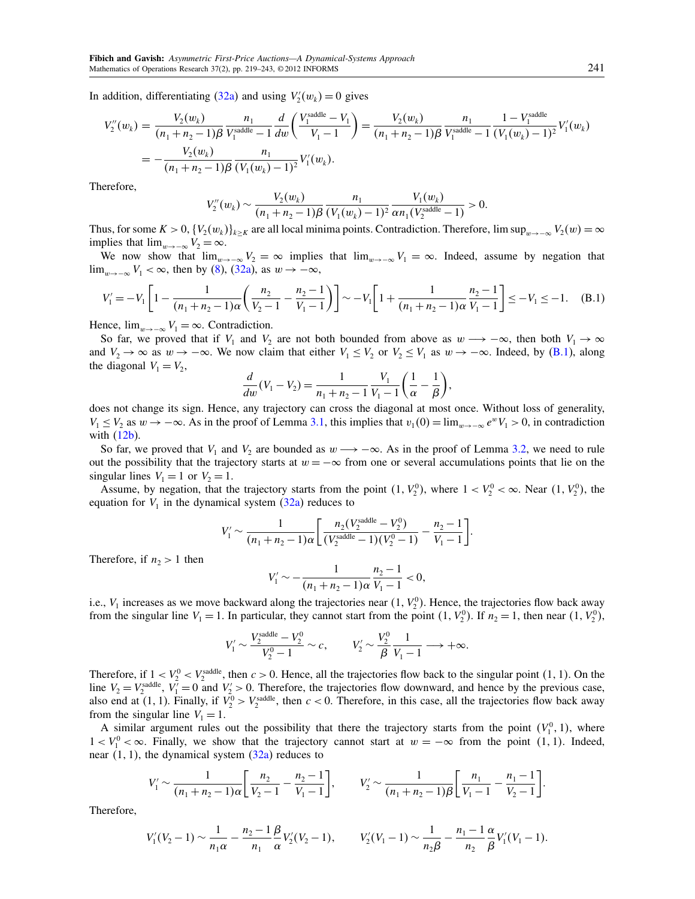In addition, differentiating [\(32a\)](#page-11-2) and using  $V_2'(w_k) = 0$  gives

$$
V_2''(w_k) = \frac{V_2(w_k)}{(n_1 + n_2 - 1)\beta} \frac{n_1}{V_1^{\text{saddle}} - 1} \frac{d}{dw} \left( \frac{V_1^{\text{saddle}} - V_1}{V_1 - 1} \right) = \frac{V_2(w_k)}{(n_1 + n_2 - 1)\beta} \frac{n_1}{V_1^{\text{saddle}} - 1} \frac{1 - V_1^{\text{saddle}}}{(V_1(w_k) - 1)^2} V_1'(w_k)
$$
  
= 
$$
-\frac{V_2(w_k)}{(n_1 + n_2 - 1)\beta} \frac{n_1}{(V_1(w_k) - 1)^2} V_1'(w_k).
$$

Therefore,

$$
V_2''(w_k) \sim \frac{V_2(w_k)}{(n_1+n_2-1)\beta} \frac{n_1}{(V_1(w_k)-1)^2} \frac{V_1(w_k)}{\alpha n_1(V_2^{\text{saddle}}-1)} > 0.
$$

Thus, for some  $K > 0$ ,  $\{V_2(w_k)\}_{k \geq K}$  are all local minima points. Contradiction. Therefore, lim sup<sub>w→−∞</sub>  $V_2(w) = \infty$ implies that  $\lim_{w\to -\infty} V_2 = \infty$ .

We now show that  $\lim_{w\to-\infty}V_2 = \infty$  implies that  $\lim_{w\to-\infty}V_1 = \infty$ . Indeed, assume by negation that  $\lim_{w\to-\infty} V_1 < \infty$ , then by [\(8\)](#page-3-10), [\(32a\)](#page-11-2), as  $w \to -\infty$ ,

<span id="page-22-0"></span>
$$
V_1' = -V_1 \left[ 1 - \frac{1}{(n_1 + n_2 - 1)\alpha} \left( \frac{n_2}{V_2 - 1} - \frac{n_2 - 1}{V_1 - 1} \right) \right] \sim -V_1 \left[ 1 + \frac{1}{(n_1 + n_2 - 1)\alpha} \frac{n_2 - 1}{V_1 - 1} \right] \le -V_1 \le -1. \tag{B.1}
$$

Hence,  $\lim_{w\to-\infty} V_1 = \infty$ . Contradiction.

So far, we proved that if  $V_1$  and  $V_2$  are not both bounded from above as  $w \rightarrow -\infty$ , then both  $V_1 \rightarrow \infty$ and  $V_2 \to \infty$  as  $w \to -\infty$ . We now claim that either  $V_1 \le V_2$  or  $V_2 \le V_1$  as  $w \to -\infty$ . Indeed, by [\(B.1\)](#page-22-0), along the diagonal  $V_1 = V_2$ ,

$$
\frac{d}{dw}(V_1 - V_2) = \frac{1}{n_1 + n_2 - 1} \frac{V_1}{V_1 - 1} \left(\frac{1}{\alpha} - \frac{1}{\beta}\right),
$$

does not change its sign. Hence, any trajectory can cross the diagonal at most once. Without loss of generality,  $V_1 \le V_2$  as  $w \to -\infty$ . As in the proof of Lemma [3.1,](#page-5-4) this implies that  $v_1(0) = \lim_{w \to -\infty} e^w V_1 > 0$ , in contradiction with [\(12b\)](#page-3-12).

So far, we proved that  $V_1$  and  $V_2$  are bounded as  $w \rightarrow -\infty$ . As in the proof of Lemma [3.2,](#page-5-0) we need to rule out the possibility that the trajectory starts at  $w = -\infty$  from one or several accumulations points that lie on the singular lines  $V_1 = 1$  or  $V_2 = 1$ .

Assume, by negation, that the trajectory starts from the point  $(1, V_2^0)$ , where  $1 < V_2^0 < \infty$ . Near  $(1, V_2^0)$ , the equation for  $V_1$  in the dynamical system  $(32a)$  reduces to

$$
V_1' \sim \frac{1}{(n_1 + n_2 - 1)\alpha} \left[ \frac{n_2 (V_2^{\text{saddle}} - V_2^0)}{(V_2^{\text{saddle}} - 1)(V_2^0 - 1)} - \frac{n_2 - 1}{V_1 - 1} \right].
$$

Therefore, if  $n_2 > 1$  then

$$
V_1' \sim -\frac{1}{(n_1 + n_2 - 1)\alpha} \frac{n_2 - 1}{V_1 - 1} < 0,
$$

i.e.,  $V_1$  increases as we move backward along the trajectories near  $(1, V_2^0)$ . Hence, the trajectories flow back away from the singular line  $V_1 = 1$ . In particular, they cannot start from the point  $(1, V_2^0)$ . If  $n_2 = 1$ , then near  $(1, V_2^0)$ ,

$$
V_1' \sim \frac{V_2^{\text{saddle}} - V_2^0}{V_2^0 - 1} \sim c, \qquad V_2' \sim \frac{V_2^0}{\beta} \frac{1}{V_1 - 1} \longrightarrow +\infty.
$$

Therefore, if  $1 < V_2^0 < V_2^{\text{addle}}$ , then  $c > 0$ . Hence, all the trajectories flow back to the singular point (1, 1). On the line  $V_2 = V_2^{\text{saddle}}$ ,  $V_1' = 0$  and  $V_2' > 0$ . Therefore, the trajectories flow downward, and hence by the previous case, also end at (1, 1). Finally, if  $V_2^0 > V_2^{\text{saddle}}$ , then  $c < 0$ . Therefore, in this case, all the trajectories flow back away from the singular line  $V_1 = 1$ .

A similar argument rules out the possibility that there the trajectory starts from the point  $(V_1^0, 1)$ , where  $1 < V_1^0 < \infty$ . Finally, we show that the trajectory cannot start at  $w = -\infty$  from the point (1, 1). Indeed, near  $(1, 1)$ , the dynamical system  $(32a)$  reduces to

$$
V_1' \sim \frac{1}{(n_1 + n_2 - 1)\alpha} \left[ \frac{n_2}{V_2 - 1} - \frac{n_2 - 1}{V_1 - 1} \right], \qquad V_2' \sim \frac{1}{(n_1 + n_2 - 1)\beta} \left[ \frac{n_1}{V_1 - 1} - \frac{n_1 - 1}{V_2 - 1} \right].
$$

Therefore,

$$
V_1'(V_2-1) \sim \frac{1}{n_1\alpha} - \frac{n_2-1}{n_1} \frac{\beta}{\alpha} V_2'(V_2-1), \qquad V_2'(V_1-1) \sim \frac{1}{n_2\beta} - \frac{n_1-1}{n_2} \frac{\alpha}{\beta} V_1'(V_1-1).
$$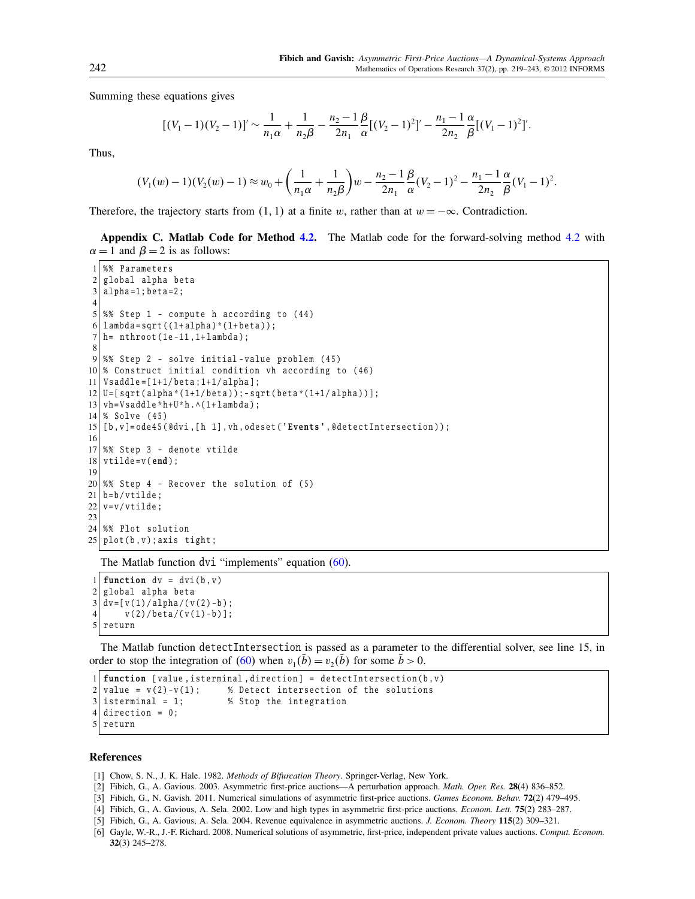Summing these equations gives

$$
[(V_1-1)(V_2-1)]' \sim \frac{1}{n_1\alpha} + \frac{1}{n_2\beta} - \frac{n_2-1}{2n_1} \frac{\beta}{\alpha} [(V_2-1)^2]' - \frac{n_1-1}{2n_2} \frac{\alpha}{\beta} [(V_1-1)^2]'.
$$

Thus,

$$
(V_1(w)-1)(V_2(w)-1) \approx w_0 + \left(\frac{1}{n_1\alpha} + \frac{1}{n_2\beta}\right)w - \frac{n_2-1}{2n_1}\frac{\beta}{\alpha}(V_2-1)^2 - \frac{n_1-1}{2n_2}\frac{\alpha}{\beta}(V_1-1)^2.
$$

Therefore, the trajectory starts from  $(1, 1)$  at a finite w, rather than at  $w = -\infty$ . Contradiction.

<span id="page-23-6"></span>Appendix C. Matlab Code for Method [4.2.](#page-19-1) The Matlab code for the forward-solving method [4.2](#page-19-1) with  $\alpha = 1$  and  $\beta = 2$  is as follows:

```
%% Parameters
 2 global alpha beta
 3 | alpha=1; beta=2;4
 5 \times 8 Step 1 - compute h according to (44)
 6| lambda=sqrt((1+a1pha)*(1+beta));
 7 \vert h = \text{ nthroot} (1e-11, 1+ \text{lambda});
 8
9 %% Step 2 - solve initial-value problem (45)
10\% Construct initial condition vh according to (46)
11 | Vsaddle = [1+1/beta; 1+1/a1pha];
12|U = [sqrt(alpha * (1+1/beta)) ; -sqrt(beta * (1+1/alpha))];13 \mid \text{vh=Vsaddle*}h+U*h.\land(1+ lambda);
14 % Solve (45)
15 \vert [b, v] = ode45 (@dvi, [h 1], vh, odeset ('Events', @detectIntersection));
16
17 %% Step 3 - denote vtilde
18 \mid \text{vtilde} = v(\text{end});
19
20\frac{8}{6} Step 4 - Recover the solution of (5)
21 b=b/vtilde;
22 \vert v = v / vtilde;
23
24 %% Plot solution
25 plot (b, v); axis tight;
```
The Matlab function dvi "implements" equation  $(60)$ .

1 function  $dv = dvi(b, v)$  $2$  global alpha beta  $3 | dv = [ v (1) / a1 pha / ( v (2) - b ) ;$  $4 \mid v(2) / \beta t a / (v(1) - b)$ ;  $5$  return

The Matlab function detectIntersection is passed as a parameter to the differential solver, see line 15, in order to stop the integration of [\(60\)](#page-19-2) when  $v_1(\tilde{b}) = v_2(\tilde{b})$  for some  $\tilde{b} > 0$ .

```
1 function [ value , isterminal , direction ] = detectIntersection (b , v )
2 \times 2 value = v(2)-v(1); % Detect intersection of the solutions
3 isterminal = 1; \% Stop the integration
4 direction = 0;
5 return
```
## References

- <span id="page-23-1"></span>[1] Chow, S. N., J. K. Hale. 1982. Methods of Bifurcation Theory. Springer-Verlag, New York.
- <span id="page-23-2"></span>[2] Fibich, G., A. Gavious. 2003. Asymmetric first-price auctions—A perturbation approach. Math. Oper. Res. 28(4) 836–852.
- <span id="page-23-0"></span>[3] Fibich, G., N. Gavish. 2011. Numerical simulations of asymmetric first-price auctions. Games Econom. Behav. 72(2) 479–495.
- <span id="page-23-3"></span>[4] Fibich, G., A. Gavious, A. Sela. 2002. Low and high types in asymmetric first-price auctions. Econom. Lett. 75(2) 283–287.
- <span id="page-23-4"></span>[5] Fibich, G., A. Gavious, A. Sela. 2004. Revenue equivalence in asymmetric auctions. J. Econom. Theory 115(2) 309–321.
- <span id="page-23-5"></span>[6] Gayle, W.-R., J.-F. Richard. 2008. Numerical solutions of asymmetric, first-price, independent private values auctions. Comput. Econom. 32(3) 245–278.